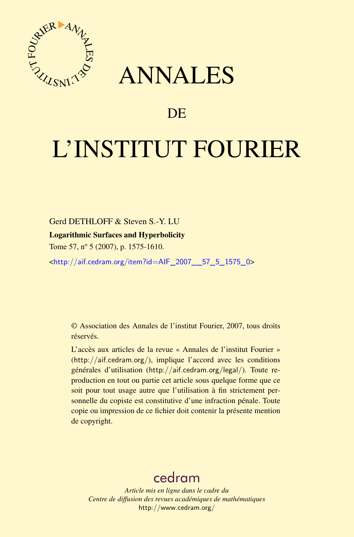

## ANNALES

## **DE**

# L'INSTITUT FOURIER

Gerd DETHLOFF & Steven S.-Y. LU

#### Logarithmic Surfaces and Hyperbolicity

Tome 57, n<sup>o</sup> 5 (2007), p. 1575-1610.

<[http://aif.cedram.org/item?id=AIF\\_2007\\_\\_57\\_5\\_1575\\_0](http://aif.cedram.org/item?id=AIF_2007__57_5_1575_0)>

© Association des Annales de l'institut Fourier, 2007, tous droits réservés.

L'accès aux articles de la revue « Annales de l'institut Fourier » (<http://aif.cedram.org/>), implique l'accord avec les conditions générales d'utilisation (<http://aif.cedram.org/legal/>). Toute reproduction en tout ou partie cet article sous quelque forme que ce soit pour tout usage autre que l'utilisation à fin strictement personnelle du copiste est constitutive d'une infraction pénale. Toute copie ou impression de ce fichier doit contenir la présente mention de copyright.

## [cedram](http://www.cedram.org/)

*Article mis en ligne dans le cadre du Centre de diffusion des revues académiques de mathématiques* <http://www.cedram.org/>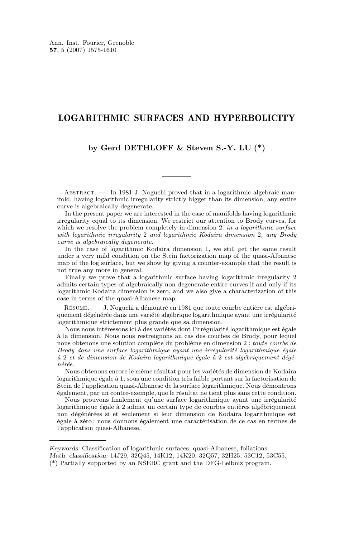#### LOGARITHMIC SURFACES AND HYPERBOLICITY

#### **by Gerd DETHLOFF & Steven S.-Y. LU (\*)**

ABSTRACT. — In 1981 J. Noguchi proved that in a logarithmic algebraic manifold, having logarithmic irregularity strictly bigger than its dimension, any entire curve is algebraically degenerate.

In the present paper we are interested in the case of manifolds having logarithmic irregularity equal to its dimension. We restrict our attention to Brody curves, for which we resolve the problem completely in dimension 2: *in a logarithmic surface with logarithmic irregularity* 2 *and logarithmic Kodaira dimension* 2*, any Brody curve is algebraically degenerate*.

In the case of logarithmic Kodaira dimension 1, we still get the same result under a very mild condition on the Stein factorization map of the quasi-Albanese map of the log surface, but we show by giving a counter-example that the result is not true any more in general.

Finally we prove that a logarithmic surface having logarithmic irregularity 2 admits certain types of algebraically non degenerate entire curves if and only if its logarithmic Kodaira dimension is zero, and we also give a characterization of this case in terms of the quasi-Albanese map.

Résumé. — J. Noguchi a démontré en 1981 que toute courbe entière est algébriquement dégénérée dans une variété algébrique logarithmique ayant une irrégularité logarithmique strictement plus grande que sa dimension.

Nous nous intéressons ici à des variétés dont l'irrégularité logarithmique est égale à la dimension. Nous nous restreignons au cas des courbes de Brody, pour lequel nous obtenons une solution complète du problème en dimension 2 : *toute courbe de Brody dans une surface logarithmique ayant une irrégularité logarithmique égale à* 2 *et de dimension de Kodaira logarithmique égale à* 2 *est algébriquement dégénérée*.

Nous obtenons encore le même résultat pour les variétés de dimension de Kodaira logarithmique égale à 1, sous une condition très faible portant sur la factorisation de Stein de l'application quasi-Albanese de la surface logarithmique. Nous démontrons également, par un contre-exemple, que le résultat ne tient plus sans cette condition.

Nous prouvons finalement qu'une surface logarithmique ayant une irrégularité logarithmique égale à 2 admet un certain type de courbes entières algébriquement non dégénérées si et seulement si leur dimension de Kodaira logarithmique est égale à zéro ; nous donnons également une caractérisation de ce cas en termes de l'application quasi-Albanese.

*Keywords:* Classification of logarithmic surfaces, quasi-Albanese, foliations.

*Math. classification:* 14J29, 32Q45, 14K12, 14K20, 32Q57, 32H25, 53C12, 53C55.

<sup>(\*)</sup> Partially supported by an NSERC grant and the DFG-Leibniz program.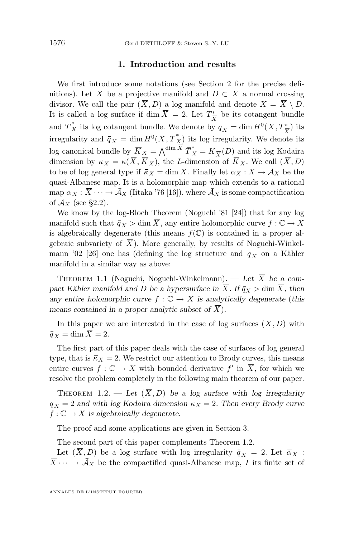#### **1. Introduction and results**

<span id="page-2-0"></span>We first introduce some notations (see Section 2 for the precise definitions). Let  $\overline{X}$  be a projective manifold and  $D \subset \overline{X}$  a normal crossing divisor. We call the pair  $(\overline{X}, D)$  a log manifold and denote  $X = \overline{X} \setminus D$ . It is called a log surface if dim  $\overline{X} = 2$ . Let  $T^*_{\overline{y}}$  $\frac{1}{X}$  be its cotangent bundle and  $\overline{T}_X^*$  its log cotangent bundle. We denote by  $q_{\overline{X}} = \dim H^0(\overline{X}, T^*_{\overline{X}})$  its irregularity and  $\bar{q}_X = \dim H^0(\overline{X}, \overline{T}_X^*)$  its log irregularity. We denote its log canonical bundle by  $\overline{K}_X = \bigwedge^{\dim \overline{X}} \overline{T}_X^* = K_{\overline{X}}(D)$  and its log Kodaira dimension by  $\bar{\kappa}_X = \kappa(\bar{X}, \bar{K}_X)$ , the L-dimension of  $\bar{K}_X$ . We call  $(\bar{X}, D)$ to be of log general type if  $\bar{\kappa}_X = \dim \overline{X}$ . Finally let  $\alpha_X : X \to A_X$  be the quasi-Albanese map. It is a holomorphic map which extends to a rational map  $\bar{\alpha}_X : \bar{X} \cdots \to \bar{\mathcal{A}}_X$  (Iitaka '76 [\[16\]](#page-35-0)), where  $\bar{\mathcal{A}}_X$  is some compactification of  $\mathcal{A}_X$  (see §2.2).

We know by the log-Bloch Theorem (Noguchi '81 [\[24\]](#page-36-0)) that for any log manifold such that  $\bar{q}_X > \dim \overline{X}$ , any entire holomorphic curve  $f : \mathbb{C} \to X$ is algebraically degenerate (this means  $f(\mathbb{C})$  is contained in a proper algebraic subvariety of  $\overline{X}$ ). More generally, by results of Noguchi-Winkel-mann '02 [\[26\]](#page-36-0) one has (defining the log structure and  $\bar{q}_X$  on a Kähler manifold in a similar way as above:

THEOREM 1.1 (Noguchi, Noguchi-Winkelmann). — Let  $\overline{X}$  be a compact Kähler manifold and D be a hypersurface in  $\overline{X}$ . If  $\overline{q}_X > \dim \overline{X}$ , then *any entire holomorphic curve*  $f : \mathbb{C} \to X$  *is analytically degenerate* (*this means contained in a proper analytic subset of*  $\overline{X}$ *).* 

In this paper we are interested in the case of log surfaces  $(\overline{X}, D)$  with  $\overline{q}_X = \dim \overline{X} = 2.$ 

The first part of this paper deals with the case of surfaces of log general type, that is  $\bar{\kappa}_X = 2$ . We restrict our attention to Brody curves, this means entire curves  $f: \mathbb{C} \to X$  with bounded derivative  $f'$  in  $\overline{X}$ , for which we resolve the problem completely in the following main theorem of our paper.

THEOREM 1.2. — Let  $(\overline{X}, D)$  be a log surface with log irregularity  $\bar{q}_X = 2$  *and with log Kodaira dimension*  $\bar{\kappa}_X = 2$ *. Then every Brody curve*  $f: \mathbb{C} \to X$  is algebraically degenerate.

The proof and some applications are given in Section 3.

The second part of this paper complements Theorem 1.2.

Let  $(\overline{X}, D)$  be a log surface with log irregularity  $\overline{q}_X = 2$ . Let  $\overline{\alpha}_X$ :  $\overline{X} \cdots \rightarrow \overline{A}_X$  be the compactified quasi-Albanese map, I its finite set of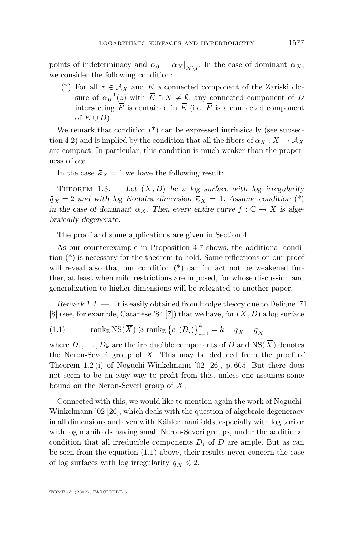<span id="page-3-0"></span>points of indeterminacy and  $\bar{\alpha}_0 = \bar{\alpha}_X|_{\overline{X}\setminus I}$ . In the case of dominant  $\bar{\alpha}_X$ , we consider the following condition:

(\*) For all  $z \in A_X$  and  $\overline{E}$  a connected component of the Zariski closure of  $\bar{\alpha}_0^{-1}(z)$  with  $\bar{E} \cap X \neq \emptyset$ , any connected component of D intersecting  $\overline{E}$  is contained in  $\overline{E}$  (i.e.  $\overline{E}$  is a connected component of  $\overline{E} \cup D$ ).

We remark that condition  $(*)$  can be expressed intrinsically (see subsection 4.2) and is implied by the condition that all the fibers of  $\alpha_X : X \to \mathcal{A}_X$ are compact. In particular, this condition is much weaker than the properness of  $\alpha_X$ .

In the case  $\bar{\kappa}_X = 1$  we have the following result:

THEOREM 1.3. — Let  $(\overline{X}, D)$  be a log surface with log irregularity  $\bar{q}_X = 2$  *and with log Kodaira dimension*  $\bar{\kappa}_X = 1$ *. Assume condition* (\*) *in the case of dominant*  $\overline{\alpha}_X$ . Then every entire curve  $f : \mathbb{C} \to X$  *is algebraically degenerate.*

The proof and some applications are given in Section 4.

As our counterexample in Proposition [4.7](#page-33-0) shows, the additional condition (\*) is necessary for the theorem to hold. Some reflections on our proof will reveal also that our condition  $(*)$  can in fact not be weakened further, at least when mild restrictions are imposed, for whose discussion and generalization to higher dimensions will be relegated to another paper.

*Remark 1.4.* — It is easily obtained from Hodge theory due to Deligne '71 [\[8\]](#page-35-0) (see, for example, Catanese '84 [\[7\]](#page-35-0)) that we have, for  $(\overline{X}, D)$  a log surface

(1.1) 
$$
\operatorname{rank}_{\mathbb{Z}} \operatorname{NS}(\overline{X}) \geqslant \operatorname{rank}_{\mathbb{Z}} \left\{ c_1(D_i) \right\}_{i=1}^k = k - \overline{q}_X + q_{\overline{X}}
$$

where  $D_1, \ldots, D_k$  are the irreducible components of D and NS( $\overline{X}$ ) denotes the Neron-Severi group of  $\overline{X}$ . This may be deduced from the proof of Theorem 1.2 (i) of Noguchi-Winkelmann '02 [\[26\]](#page-36-0), p. 605. But there does not seem to be an easy way to profit from this, unless one assumes some bound on the Neron-Severi group of  $\overline{X}$ .

Connected with this, we would like to mention again the work of Noguchi-Winkelmann '02 [\[26\]](#page-36-0), which deals with the question of algebraic degeneracy in all dimensions and even with Kähler manifolds, especially with log tori or with log manifolds having small Neron-Severi groups, under the additional condition that all irreducible components  $D_i$  of D are ample. But as can be seen from the equation (1.1) above, their results never concern the case of log surfaces with log irregularity  $\bar{q}_X \leq 2$ .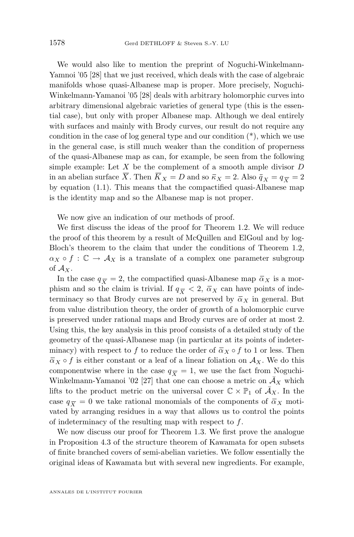We would also like to mention the preprint of Noguchi-Winkelmann-Yamnoi '05 [\[28\]](#page-36-0) that we just received, which deals with the case of algebraic manifolds whose quasi-Albanese map is proper. More precisely, Noguchi-Winkelmann-Yamanoi '05 [\[28\]](#page-36-0) deals with arbitrary holomorphic curves into arbitrary dimensional algebraic varieties of general type (this is the essential case), but only with proper Albanese map. Although we deal entirely with surfaces and mainly with Brody curves, our result do not require any condition in the case of log general type and our condition  $(*)$ , which we use in the general case, is still much weaker than the condition of properness of the quasi-Albanese map as can, for example, be seen from the following simple example: Let  $X$  be the complement of a smooth ample divisor  $D$ in an abelian surface  $\overline{X}$ . Then  $\overline{K}_X = D$  and so  $\overline{\kappa}_X = 2$ . Also  $\overline{q}_X = q_{\overline{X}} = 2$ by equation [\(1.1\)](#page-3-0). This means that the compactified quasi-Albanese map is the identity map and so the Albanese map is not proper.

We now give an indication of our methods of proof.

We first discuss the ideas of the proof for Theorem [1.2.](#page-2-0) We will reduce the proof of this theorem by a result of McQuillen and ElGoul and by log-Bloch's theorem to the claim that under the conditions of Theorem [1.2,](#page-2-0)  $\alpha_X \circ f : \mathbb{C} \to \mathcal{A}_X$  is a translate of a complex one parameter subgroup of  $\mathcal{A}_X$ .

In the case  $q_{\overline{X}} = 2$ , the compactified quasi-Albanese map  $\overline{\alpha}_X$  is a morphism and so the claim is trivial. If  $q_{\overline{X}} < 2$ ,  $\overline{\alpha}_X$  can have points of indeterminacy so that Brody curves are not preserved by  $\bar{\alpha}_X$  in general. But from value distribution theory, the order of growth of a holomorphic curve is preserved under rational maps and Brody curves are of order at most 2. Using this, the key analysis in this proof consists of a detailed study of the geometry of the quasi-Albanese map (in particular at its points of indeterminacy) with respect to f to reduce the order of  $\bar{\alpha}_X \circ f$  to 1 or less. Then  $\overline{\alpha}_X \circ f$  is either constant or a leaf of a linear foliation on  $\mathcal{A}_X$ . We do this componentwise where in the case  $q_{\overline{X}} = 1$ , we use the fact from Noguchi-Winkelmann-Yamanoi '02 [\[27\]](#page-36-0) that one can choose a metric on  $\overline{A}_X$  which lifts to the product metric on the universal cover  $\mathbb{C} \times \mathbb{P}_1$  of  $\overline{A}_X$ . In the case  $q_{\overline{X}} = 0$  we take rational monomials of the components of  $\overline{\alpha}_X$  motivated by arranging residues in a way that allows us to control the points of indeterminacy of the resulting map with respect to  $f$ .

We now discuss our proof for Theorem [1.3.](#page-3-0) We first prove the analogue in Proposition [4.3](#page-25-0) of the structure theorem of Kawamata for open subsets of finite branched covers of semi-abelian varieties. We follow essentially the original ideas of Kawamata but with several new ingredients. For example,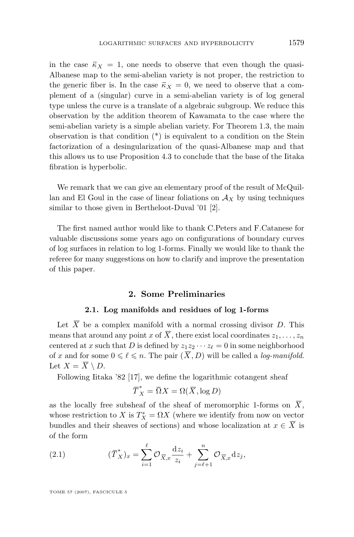<span id="page-5-0"></span>in the case  $\bar{\kappa}_X = 1$ , one needs to observe that even though the quasi-Albanese map to the semi-abelian variety is not proper, the restriction to the generic fiber is. In the case  $\bar{\kappa}_X = 0$ , we need to observe that a complement of a (singular) curve in a semi-abelian variety is of log general type unless the curve is a translate of a algebraic subgroup. We reduce this observation by the addition theorem of Kawamata to the case where the semi-abelian variety is a simple abelian variety. For Theorem [1.3,](#page-3-0) the main observation is that condition (\*) is equivalent to a condition on the Stein factorization of a desingularization of the quasi-Albanese map and that this allows us to use Proposition [4.3](#page-25-0) to conclude that the base of the Iitaka fibration is hyperbolic.

We remark that we can give an elementary proof of the result of McQuillan and El Goul in the case of linear foliations on  $A<sub>X</sub>$  by using techniques similar to those given in Bertheloot-Duval '01 [\[2\]](#page-35-0).

The first named author would like to thank C.Peters and F.Catanese for valuable discussions some years ago on configurations of boundary curves of log surfaces in relation to log 1-forms. Finally we would like to thank the referee for many suggestions on how to clarify and improve the presentation of this paper.

#### **2. Some Preliminaries**

#### **2.1. Log manifolds and residues of log 1-forms**

Let  $\overline{X}$  be a complex manifold with a normal crossing divisor D. This means that around any point x of  $\overline{X}$ , there exist local coordinates  $z_1, \ldots, z_n$ centered at x such that D is defined by  $z_1z_2 \cdots z_\ell = 0$  in some neighborhood of x and for some  $0 \leq \ell \leq n$ . The pair  $(\overline{X}, D)$  will be called a *log-manifold*. Let  $X = \overline{X} \setminus D$ .

Following Iitaka '82 [\[17\]](#page-35-0), we define the logarithmic cotangent sheaf

$$
\overline{T}_X^* = \overline{\Omega}X = \Omega(\overline{X}, \log D)
$$

as the locally free subsheaf of the sheaf of meromorphic 1-forms on  $\overline{X}$ , whose restriction to X is  $T_X^* = \Omega X$  (where we identify from now on vector bundles and their sheaves of sections) and whose localization at  $x \in \overline{X}$  is of the form

(2.1) 
$$
(\overline{T}_X^*)_x = \sum_{i=1}^{\ell} \mathcal{O}_{\overline{X},x} \frac{\mathrm{d}z_i}{z_i} + \sum_{j=\ell+1}^n \mathcal{O}_{\overline{X},x} \mathrm{d}z_j,
$$

TOME 57 (2007), FASCICULE 5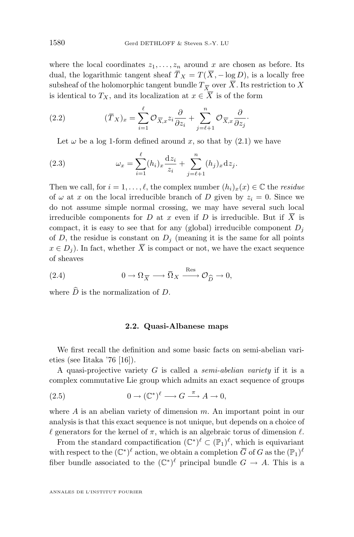<span id="page-6-0"></span>where the local coordinates  $z_1, \ldots, z_n$  around x are chosen as before. Its dual, the logarithmic tangent sheaf  $\overline{T}_X = T(\overline{X}, -\log D)$ , is a locally free subsheaf of the holomorphic tangent bundle  $T_{\overline{X}}$  over X . Its restriction to X is identical to  $T_X$ , and its localization at  $x \in \overline{X}$  is of the form

(2.2) 
$$
(\overline{T}_X)_x = \sum_{i=1}^{\ell} \mathcal{O}_{\overline{X},x} z_i \frac{\partial}{\partial z_i} + \sum_{j=\ell+1}^{n} \mathcal{O}_{\overline{X},x} \frac{\partial}{\partial z_j}.
$$

Let  $\omega$  be a log 1-form defined around x, so that by [\(2.1\)](#page-5-0) we have

(2.3) 
$$
\omega_x = \sum_{i=1}^{\ell} (h_i)_x \frac{dz_i}{z_i} + \sum_{j=\ell+1}^{n} (h_j)_x dz_j.
$$

Then we call, for  $i = 1, ..., \ell$ , the complex number  $(h_i)_x(x) \in \mathbb{C}$  the *residue* of  $\omega$  at x on the local irreducible branch of D given by  $z_i = 0$ . Since we do not assume simple normal crossing, we may have several such local irreducible components for D at x even if D is irreducible. But if  $\overline{X}$  is compact, it is easy to see that for any (global) irreducible component  $D_i$ of D, the residue is constant on  $D_j$  (meaning it is the same for all points  $x \in D_i$ ). In fact, whether  $\overline{X}$  is compact or not, we have the exact sequence of sheaves

(2.4) 
$$
0 \to \Omega_{\overline{X}} \longrightarrow \overline{\Omega}_X \xrightarrow{\text{Res}} \mathcal{O}_{\widehat{D}} \to 0,
$$

where  $\widehat{D}$  is the normalization of D.

#### **2.2. Quasi-Albanese maps**

We first recall the definition and some basic facts on semi-abelian varieties (see Iitaka '76 [\[16\]](#page-35-0)).

A quasi-projective variety G is called a *semi-abelian variety* if it is a complex commutative Lie group which admits an exact sequence of groups

(2.5) 
$$
0 \to (\mathbb{C}^*)^{\ell} \longrightarrow G \stackrel{\pi}{\longrightarrow} A \to 0,
$$

where  $A$  is an abelian variety of dimension  $m$ . An important point in our analysis is that this exact sequence is not unique, but depends on a choice of  $\ell$  generators for the kernel of  $\pi$ , which is an algebraic torus of dimension  $\ell$ .

From the standard compactification  $(\mathbb{C}^*)^{\ell} \subset (\mathbb{P}_1)^{\ell}$ , which is equivariant with respect to the  $(\mathbb{C}^*)^{\ell}$  action, we obtain a completion  $\overline{G}$  of  $G$  as the  $(\mathbb{P}_1)^{\ell}$ fiber bundle associated to the  $(\mathbb{C}^*)^{\ell}$  principal bundle  $G \to A$ . This is a

ANNALES DE L'INSTITUT FOURIER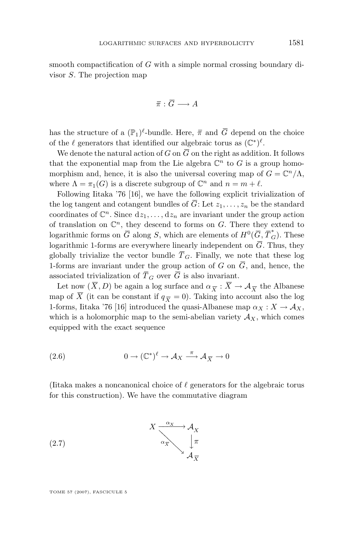<span id="page-7-0"></span>smooth compactification of G with a simple normal crossing boundary divisor S. The projection map

$$
\overline{\pi}:\overline{G}\longrightarrow A
$$

has the structure of a  $(\mathbb{P}_1)^{\ell}$ -bundle. Here,  $\bar{\pi}$  and  $\bar{G}$  depend on the choice of the  $\ell$  generators that identified our algebraic torus as  $(\mathbb{C}^*)^{\ell}$ .

We denote the natural action of G on  $\overline{G}$  on the right as addition. It follows that the exponential map from the Lie algebra  $\mathbb{C}^n$  to G is a group homomorphism and, hence, it is also the universal covering map of  $G = \mathbb{C}^n/\Lambda$ , where  $\Lambda = \pi_1(G)$  is a discrete subgroup of  $\mathbb{C}^n$  and  $n = m + \ell$ .

Following Iitaka '76 [\[16\]](#page-35-0), we have the following explicit trivialization of the log tangent and cotangent bundles of  $\overline{G}$ : Let  $z_1, \ldots, z_n$  be the standard coordinates of  $\mathbb{C}^n$ . Since  $dz_1, \ldots, dz_n$  are invariant under the group action of translation on  $\mathbb{C}^n$ , they descend to forms on G. There they extend to logarithmic forms on  $\overline{G}$  along  $S$ , which are elements of  $H^0(\overline{G}, \overline{T}_G^*)$ . These logarithmic 1-forms are everywhere linearly independent on  $\overline{G}$ . Thus, they globally trivialize the vector bundle  $\overline{T}_G$ . Finally, we note that these log 1-forms are invariant under the group action of G on  $\overline{G}$ , and, hence, the associated trivialization of  $\overline{T}_G$  over  $\overline{G}$  is also invariant.

Let now  $(X, D)$  be again a log surface and  $\alpha_{\overline{X}} : X \to \mathcal{A}_{\overline{X}}$  the Albanese map of  $\overline{X}$  (it can be constant if  $q_{\overline{X}} = 0$ ). Taking into account also the log 1-forms, Iitaka '76 [\[16\]](#page-35-0) introduced the quasi-Albanese map  $\alpha_X : X \to \mathcal{A}_X$ , which is a holomorphic map to the semi-abelian variety  $A_X$ , which comes equipped with the exact sequence

(2.6) 
$$
0 \to (\mathbb{C}^*)^{\ell} \to \mathcal{A}_X \xrightarrow{\pi} \mathcal{A}_{\overline{X}} \to 0
$$

(Iitaka makes a noncanonical choice of  $\ell$  generators for the algebraic torus for this construction). We have the commutative diagram

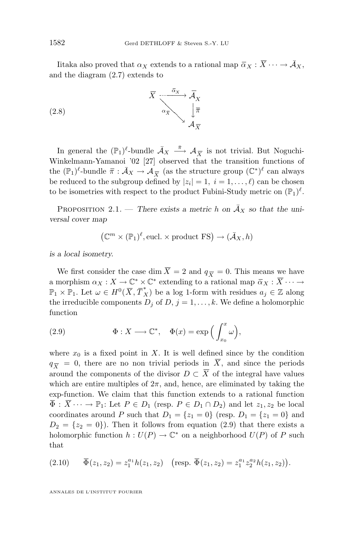Iitaka also proved that  $\alpha_X$  extends to a rational map  $\overline{\alpha}_X : \overline{X} \cdots \to \overline{\mathcal{A}}_X$ , and the diagram [\(2.7\)](#page-7-0) extends to



In general the  $(\mathbb{P}_1)^{\ell}$ -bundle  $\bar{\mathcal{A}}_X \stackrel{\bar{\pi}}{\longrightarrow} \mathcal{A}_{\overline{X}}$  is not trivial. But Noguchi-Winkelmann-Yamanoi '02 [\[27\]](#page-36-0) observed that the transition functions of the  $(\mathbb{P}_1)^{\ell}$ -bundle  $\bar{\pi}: \bar{\mathcal{A}}_X \to \mathcal{A}_{\overline{X}}$  (as the structure group  $(\mathbb{C}^*)^{\ell}$  can always be reduced to the subgroup defined by  $|z_i| = 1, i = 1, \ldots, \ell$  can be chosen to be isometries with respect to the product Fubini-Study metric on  $(\mathbb{P}_1)^{\ell}$ .

PROPOSITION 2.1. — *There exists a metric* h on  $\bar{A}_X$  so that the uni*versal cover map*

 $(\mathbb{C}^m \times (\mathbb{P}_1)^{\ell}, \text{eucl.} \times \text{product FS}) \to (\bar{A}_X, h)$ 

*is a local isometry.*

We first consider the case dim  $\overline{X} = 2$  and  $q_{\overline{X}} = 0$ . This means we have a morphism  $\alpha_X: X \to \mathbb{C}^* \times \mathbb{C}^*$  extending to a rational map  $\overline{\alpha}_X: \overline{X} \cdots \to$  $\mathbb{P}_1 \times \mathbb{P}_1$ . Let  $\omega \in H^0(\overline{X}, \overline{T}_X^*)$  be a log 1-form with residues  $a_j \in \mathbb{Z}$  along the irreducible components  $D_j$  of  $D, j = 1, \ldots, k$ . We define a holomorphic function

(2.9) 
$$
\Phi: X \longrightarrow \mathbb{C}^*, \quad \Phi(x) = \exp\Big(\int_{x_0}^x \omega\Big),
$$

where  $x_0$  is a fixed point in X. It is well defined since by the condition  $q_{\overline{Y}} = 0$ , there are no non trivial periods in  $\overline{X}$ , and since the periods around the components of the divisor  $D \subset \overline{X}$  of the integral have values which are entire multiples of  $2\pi$ , and, hence, are eliminated by taking the exp-function. We claim that this function extends to a rational function  $\overline{\Phi}: \overline{X} \cdots \to \mathbb{P}_1$ : Let  $P \in D_1$  (resp.  $P \in D_1 \cap D_2$ ) and let  $z_1, z_2$  be local coordinates around P such that  $D_1 = \{z_1 = 0\}$  (resp.  $D_1 = \{z_1 = 0\}$  and  $D_2 = \{z_2 = 0\}$ . Then it follows from equation (2.9) that there exists a holomorphic function  $h: U(P) \to \mathbb{C}^*$  on a neighborhood  $U(P)$  of P such that

$$
(2.10) \qquad \overline{\Phi}(z_1, z_2) = z_1^{a_1} h(z_1, z_2) \quad \text{(resp. } \overline{\Phi}(z_1, z_2) = z_1^{a_1} z_2^{a_2} h(z_1, z_2) \text{)}.
$$

ANNALES DE L'INSTITUT FOURIER

<span id="page-8-0"></span>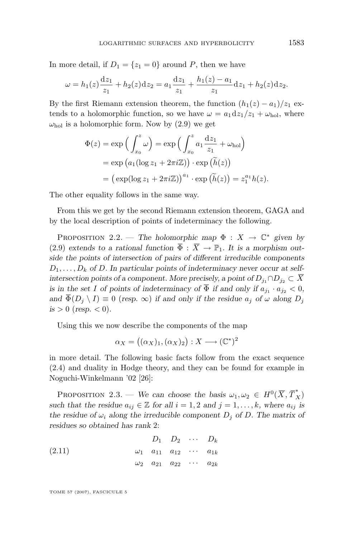<span id="page-9-0"></span>In more detail, if  $D_1 = \{z_1 = 0\}$  around P, then we have

$$
\omega = h_1(z)\frac{dz_1}{z_1} + h_2(z)dz_2 = a_1\frac{dz_1}{z_1} + \frac{h_1(z) - a_1}{z_1}dz_1 + h_2(z)dz_2.
$$

By the first Riemann extension theorem, the function  $(h_1(z) - a_1)/z_1$  extends to a holomorphic function, so we have  $\omega = a_1 \mathrm{d}z_1/z_1 + \omega_{\text{hol}}$ , where  $\omega_{hol}$  is a holomorphic form. Now by [\(2.9\)](#page-8-0) we get

$$
\Phi(z) = \exp\left(\int_{x_0}^z \omega\right) = \exp\left(\int_{x_0}^z a_1 \frac{dz_1}{z_1} + \omega_{hol}\right)
$$
  
=  $\exp\left(a_1(\log z_1 + 2\pi i \mathbb{Z})\right) \cdot \exp\left(\tilde{h}(z)\right)$   
=  $\left(\exp(\log z_1 + 2\pi i \mathbb{Z})\right)^{a_1} \cdot \exp\left(\tilde{h}(z)\right) = z_1^{a_1} h(z).$ 

The other equality follows in the same way.

From this we get by the second Riemann extension theorem, GAGA and by the local description of points of indeterminacy the following.

PROPOSITION 2.2. — *The holomorphic map*  $\Phi : X \to \mathbb{C}^*$  *given by* [\(2](#page-8-0).9) extends to a rational function  $\overline{\Phi}$  :  $\overline{X} \to \mathbb{P}_1$ . It is a morphism out*side the points of intersection of pairs of different irreducible components*  $D_1, \ldots, D_k$  of D. In particular points of indeterminacy never occur at self*intersection points of a component. More precisely, a point of*  $D_{i_1} \cap D_{i_2} \subset \overline{X}$ *is in the set* I *of points of indeterminacy of*  $\Phi$  *if and only if*  $a_{j_1} \cdot a_{j_2} < 0$ , *and*  $\overline{\Phi}(D_j \setminus I) \equiv 0$  (*resp.*  $\infty$ ) *if and only if the residue*  $a_j$  *of*  $\omega$  *along*  $D_j$  $is > 0$  (*resp.* < 0).

Using this we now describe the components of the map

$$
\alpha_X = ((\alpha_X)_1, (\alpha_X)_2) : X \longrightarrow (\mathbb{C}^*)^2
$$

in more detail. The following basic facts follow from the exact sequence [\(2](#page-6-0).4) and duality in Hodge theory, and they can be found for example in Noguchi-Winkelmann '02 [\[26\]](#page-36-0):

PROPOSITION 2.3. — We can choose the basis  $\omega_1, \omega_2 \in H^0(\overline{X}, \overline{T}_X^*)$ *such that the residue*  $a_{ij} \in \mathbb{Z}$  *for all*  $i = 1, 2$  *and*  $j = 1, \ldots, k$ *, where*  $a_{ij}$  *is the residue of*  $\omega_i$  *along the irreducible component*  $D_i$  *of*  $D$ *. The matrix of residues so obtained has rank* 2:

(2.11) 
$$
D_1 \quad D_2 \quad \cdots \quad D_k
$$

$$
\omega_1 \quad a_{11} \quad a_{12} \quad \cdots \quad a_{1k}
$$

$$
\omega_2 \quad a_{21} \quad a_{22} \quad \cdots \quad a_{2k}
$$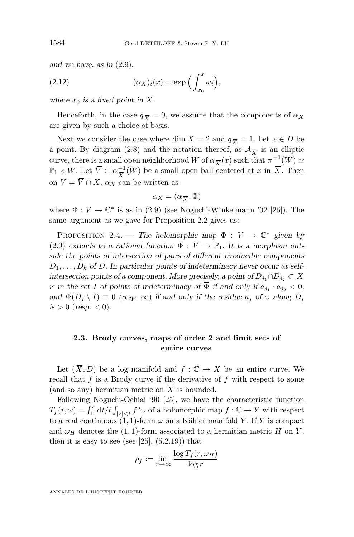<span id="page-10-0"></span>*and we have, as in* [\(2.9\)](#page-8-0)*,*

(2.12) 
$$
(\alpha_X)_i(x) = \exp\left(\int_{x_0}^x \omega_i\right),
$$

where  $x_0$  *is a fixed point in* X.

Henceforth, in the case  $q_{\overline{X}} = 0$ , we assume that the components of  $\alpha_X$ are given by such a choice of basis.

Next we consider the case where dim  $\overline{X} = 2$  and  $q_{\overline{X}} = 1$ . Let  $x \in D$  be a point. By diagram [\(2.8\)](#page-8-0) and the notation thereof, as  $\mathcal{A}_{\overline{X}}$  is an elliptic curve, there is a small open neighborhood W of  $\alpha_{\overline{X}}(x)$  such that  $\overline{\pi}^{-1}(W) \simeq$  $\mathbb{P}_1 \times W$ . Let  $\overline{V} \subset \alpha_{\overline{Y}}^{-1}$  $\frac{-1}{X}(W)$  be a small open ball centered at x in X. Then on  $V = \overline{V} \cap X$ ,  $\alpha_X$  can be written as

$$
\alpha_X = (\alpha_{\overline{X}}, \Phi)
$$

where  $\Phi: V \to \mathbb{C}^*$  is as in [\(2.9\)](#page-8-0) (see Noguchi-Winkelmann '02 [\[26\]](#page-36-0)). The same argument as we gave for Proposition [2.2](#page-9-0) gives us:

PROPOSITION 2.4. — *The holomorphic map*  $\Phi : V \to \mathbb{C}^*$  *given by* [\(2](#page-8-0).9) extends to a rational function  $\overline{\Phi} : \overline{V} \to \mathbb{P}_1$ . It is a morphism out*side the points of intersection of pairs of different irreducible components*  $D_1, \ldots, D_k$  of D. In particular points of indeterminacy never occur at self*intersection points of a component. More precisely, a point of*  $D_{j_1} \cap D_{j_2} \subset \overline{X}$ *is in the set* I *of points of indeterminacy of*  $\Phi$  *if and only if*  $a_{j_1} \cdot a_{j_2} < 0$ , *and*  $\overline{\Phi}(D_i \setminus I) \equiv 0$  *(resp.*  $\infty$ ) *if and only if the residue*  $a_i$  *of*  $\omega$  *along*  $D_i$  $is > 0$  (*resp.* < 0).

#### **2.3. Brody curves, maps of order 2 and limit sets of entire curves**

Let  $(\overline{X}, D)$  be a log manifold and  $f : \mathbb{C} \to X$  be an entire curve. We recall that  $f$  is a Brody curve if the derivative of  $f$  with respect to some (and so any) hermitian metric on  $\overline{X}$  is bounded.

Following Noguchi-Ochiai '90 [\[25\]](#page-36-0), we have the characteristic function  $T_f(r,\omega) = \int_1^r \mathrm{d}t/t \int_{|z| < t} f^*\omega$  of a holomorphic map  $f: \mathbb{C} \to Y$  with respect to a real continuous  $(1, 1)$ -form  $\omega$  on a Kähler manifold Y. If Y is compact and  $\omega_H$  denotes the (1, 1)-form associated to a hermitian metric H on Y, then it is easy to see (see  $[25]$ ,  $(5.2.19)$ ) that

$$
\rho_f := \overline{\lim_{r \to \infty}} \frac{\log T_f(r, \omega_H)}{\log r}
$$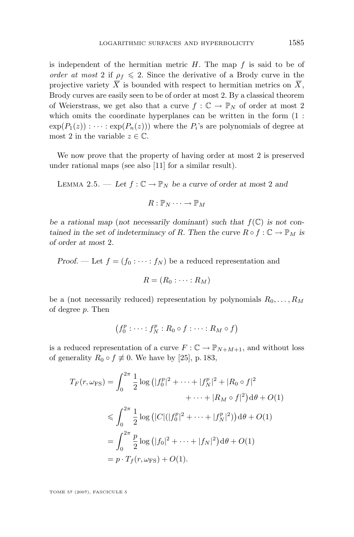<span id="page-11-0"></span>is independent of the hermitian metric  $H$ . The map  $f$  is said to be of *order at most* 2 if  $\rho_f \le 2$ . Since the derivative of a Brody curve in the projective variety  $\overline{X}$  is bounded with respect to hermitian metrics on  $\overline{X}$ , Brody curves are easily seen to be of order at most 2. By a classical theorem of Weierstrass, we get also that a curve  $f: \mathbb{C} \to \mathbb{P}_N$  of order at most 2 which omits the coordinate hyperplanes can be written in the form  $(1:$  $exp(P_1(z)) : \cdots : exp(P_n(z))$  where the  $P_i$ 's are polynomials of degree at most 2 in the variable  $z \in \mathbb{C}$ .

We now prove that the property of having order at most 2 is preserved under rational maps (see also [\[11\]](#page-35-0) for a similar result).

LEMMA 2.5. — Let  $f: \mathbb{C} \to \mathbb{P}_N$  be a curve of order at most 2 and

$$
R:\mathbb{P}_N\cdots\to\mathbb{P}_M
$$

be a rational map (not necessarily dominant) such that  $f(\mathbb{C})$  is not con*tained in the set of indeterminacy of* R. Then the curve  $R \circ f : \mathbb{C} \to \mathbb{P}_M$  *is of order at most* 2*.*

*Proof.* — Let  $f = (f_0 : \cdots : f_N)$  be a reduced representation and

$$
R=(R_0:\cdots:R_M)
$$

be a (not necessarily reduced) representation by polynomials  $R_0, \ldots, R_M$ of degree p. Then

$$
(f_0^p : \cdots : f_N^p : R_0 \circ f : \cdots : R_M \circ f)
$$

is a reduced representation of a curve  $F: \mathbb{C} \to \mathbb{P}_{N+M+1}$ , and without loss of generality  $R_0 \circ f \neq 0$ . We have by [\[25\]](#page-36-0), p. 183,

$$
T_F(r, \omega_{\rm FS}) = \int_0^{2\pi} \frac{1}{2} \log (|f_0^p|^2 + \dots + |f_N^p|^2 + |R_0 \circ f|^2
$$
  

$$
+ \dots + |R_M \circ f|^2) d\theta + O(1)
$$
  

$$
\leq \int_0^{2\pi} \frac{1}{2} \log (|C|(|f_0^p|^2 + \dots + |f_N^p|^2)) d\theta + O(1)
$$
  

$$
= \int_0^{2\pi} \frac{p}{2} \log (|f_0|^2 + \dots + |f_N|^2) d\theta + O(1)
$$
  

$$
= p \cdot T_f(r, \omega_{\rm FS}) + O(1).
$$

TOME 57 (2007), FASCICULE 5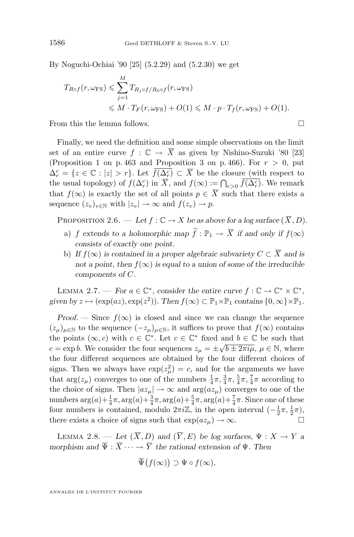By Noguchi-Ochiai '90 [\[25\]](#page-36-0) (5.2.29) and (5.2.30) we get

$$
T_{Rof}(r, \omega_{FS}) \leq \sum_{j=1}^{M} T_{R_j \circ f/R_0 \circ f}(r, \omega_{FS})
$$
  
 
$$
\leq M \cdot T_F(r, \omega_{FS}) + O(1) \leq M \cdot p \cdot T_f(r, \omega_{FS}) + O(1).
$$

From this the lemma follows.

Finally, we need the definition and some simple observations on the limit set of an entire curve  $f : \mathbb{C} \to \overline{X}$  as given by Nishino-Suzuki '80 [\[23\]](#page-36-0) (Proposition 1 on p. 463 and Proposition 3 on p. 466). For  $r > 0$ , put  $\Delta_r^c = \{z \in \mathbb{C} : |z| > r\}$ . Let  $\overline{f(\Delta_r^c)} \subset \overline{X}$  be the closure (with respect to the usual topology) of  $f(\Delta_r^c)$  in  $\overline{X}$ , and  $f(\infty) := \bigcap_{r>0} \overline{f(\Delta_r^c)}$ . We remark that  $f(\infty)$  is exactly the set of all points  $p \in \overline{X}$  such that there exists a sequence  $(z_v)_{v \in \mathbb{N}}$  with  $|z_v| \to \infty$  and  $f(z_v) \to p$ .

PROPOSITION 2.6. — Let  $f : \mathbb{C} \to X$  be as above for a log surface  $(\overline{X}, D)$ .

- a) f extends to a holomorphic map  $\hat{f}: \mathbb{P}_1 \to \overline{X}$  if and only if  $f(\infty)$ *consists of exactly one point.*
- b) *If*  $f(\infty)$  *is contained in a proper algebraic subvariety*  $C \subset \overline{X}$  *and is not a point, then*  $f(\infty)$  *is equal to a union of some of the irreducible components of* C*.*

LEMMA 2.7. — *For*  $a \in \mathbb{C}^*$ , consider the entire curve  $f : \mathbb{C} \to \mathbb{C}^* \times \mathbb{C}^*$ , given by  $z \mapsto (\exp(az), \exp(z^2))$ . Then  $f(\infty) \subset \mathbb{P}_1 \times \mathbb{P}_1$  *contains*  $\{0, \infty\} \times \mathbb{P}_1$ *.* 

*Proof.* — Since  $f(\infty)$  is closed and since we can change the sequence  $(z_{\mu})_{\mu\in\mathbb{N}}$  to the sequence  $(-z_{\mu})_{\mu\in\mathbb{N}}$ , it suffices to prove that  $f(\infty)$  contains the points  $(\infty, c)$  with  $c \in \mathbb{C}^*$ . Let  $c \in \mathbb{C}^*$  fixed and  $b \in \mathbb{C}$  be such that  $c = \exp b$ . We consider the four sequences  $z_{\mu} = \pm \sqrt{b \pm 2\pi i \mu}$ ,  $\mu \in \mathbb{N}$ , where the four different sequences are obtained by the four different choices of signs. Then we always have  $\exp(z_\mu^2) = c$ , and for the arguments we have that  $\arg(z_\mu)$  converges to one of the numbers  $\frac{1}{4}\pi$ ,  $\frac{3}{4}\pi$ ,  $\frac{5}{4}\pi$ ,  $\frac{7}{4}\pi$  according to the choice of signs. Then  $|az_{\mu}| \to \infty$  and  $\arg(az_{\mu})$  converges to one of the numbers  $\arg(a) + \frac{1}{4}\pi$ ,  $\arg(a) + \frac{3}{4}\pi$ ,  $\arg(a) + \frac{5}{4}\pi$ ,  $\arg(a) + \frac{7}{4}\pi$ . Since one of these four numbers is contained, modulo  $2\pi i \mathbb{Z}$ , in the open interval  $\left(-\frac{1}{2}\pi, \frac{1}{2}\pi\right)$ , there exists a choice of signs such that  $\exp(az_\mu) \to \infty$ .

LEMMA 2.8. — Let  $(\overline{X}, D)$  and  $(\overline{Y}, E)$  be log surfaces,  $\Psi : X \to Y$  a *morphism and*  $\overline{\Psi}$  :  $\overline{X}$   $\cdots$   $\rightarrow$   $\overline{Y}$  *the rational extension of*  $\Psi$ *. Then* 

$$
\overline{\Psi}\big(f(\infty)\big) \supset \Psi \circ f(\infty),
$$

ANNALES DE L'INSTITUT FOURIER

<span id="page-12-0"></span>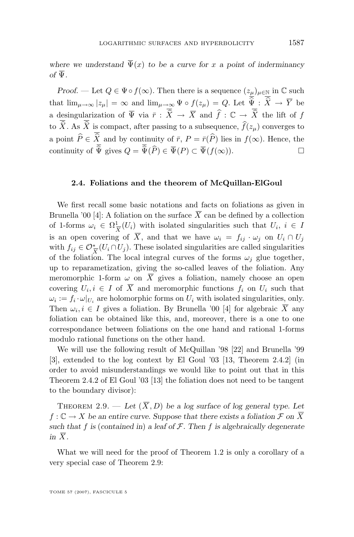<span id="page-13-0"></span>where we understand  $\overline{\Psi}(x)$  to be a curve for x a point of inderminancy  $\partial f$   $\overline{\Psi}$ 

*Proof.* — Let  $Q \in \Psi \circ f(\infty)$ . Then there is a sequence  $(z_{\mu})_{\mu \in \mathbb{N}}$  in  $\mathbb C$  such that  $\lim_{\mu\to\infty} |z_\mu| = \infty$  and  $\lim_{\mu\to\infty} \Psi \circ f(z_\mu) = Q$ . Let  $\overline{\hat{\Psi}} : \overline{\hat{X}} \to \overline{Y}$  be a desingularization of  $\overline{\Psi}$  via  $\overline{r}$  :  $\overline{\widehat{X}} \to \overline{X}$  and  $\widehat{f}$  :  $\mathbb{C} \to \overline{\widehat{X}}$  the lift of f to  $\overline{\hat{X}}$ . As  $\overline{\hat{X}}$  is compact, after passing to a subsequence,  $\hat{f}(z_u)$  converges to a point  $\widehat{P} \in \overline{\widehat{X}}$  and by continuity of  $\overline{r}$ ,  $P = \overline{r}(\widehat{P})$  lies in  $f(\infty)$ . Hence, the continuity of  $\overline{\widehat{\Psi}}$  gives  $\widehat{O} = \overline{\widehat{\Psi}}(\widehat{P}) \in \overline{\Psi}(P) \subset \overline{\Psi}(f(\infty))$ continuity of  $\overline{\hat{\Psi}}$  gives  $Q = \overline{\hat{\Psi}}(\widehat{P}) \in \overline{\Psi}(P) \subset \overline{\Psi}(f(\infty)).$ 

#### **2.4. Foliations and the theorem of McQuillan-ElGoul**

We first recall some basic notations and facts on foliations as given in Brunella '00 [\[4\]](#page-35-0): A foliation on the surface  $\overline{X}$  can be defined by a collection of 1-forms  $\omega_i \in \Omega^1_{\overline{\mathfrak{p}}}$  $\frac{1}{X}(U_i)$  with isolated singularities such that  $U_i, i \in I$ is an open covering of  $\overline{X}$ , and that we have  $\omega_i = f_{ij} \cdot \omega_j$  on  $U_i \cap U_j$ with  $f_{ij} \in \mathcal{O}_{\overline{X}}^*(U_i \cap U_j)$ . These isolated singularities are called singularities of the foliation. The local integral curves of the forms  $\omega_i$  glue together, up to reparametization, giving the so-called leaves of the foliation. Any meromorphic 1-form  $\omega$  on  $\overline{X}$  gives a foliation, namely choose an open covering  $U_i, i \in I$  of X and meromorphic functions  $f_i$  on  $U_i$  such that  $\omega_i := f_i \cdot \omega|_{U_i}$  are holomorphic forms on  $U_i$  with isolated singularities, only. Then  $\omega_i, i \in I$  gives a foliation. By Brunella '00 [\[4\]](#page-35-0) for algebraic X any foliation can be obtained like this, and, moreover, there is a one to one correspondance between foliations on the one hand and rational 1-forms modulo rational functions on the other hand.

We will use the following result of McQuillan '98 [\[22\]](#page-36-0) and Brunella '99 [\[3\]](#page-35-0), extended to the log context by El Goul '03 [\[13,](#page-35-0) Theorem 2.4.2] (in order to avoid misunderstandings we would like to point out that in this Theorem 2.4.2 of El Goul '03 [\[13\]](#page-35-0) the foliation does not need to be tangent to the boundary divisor):

THEOREM 2.9. — Let  $(\overline{X}, D)$  be a log surface of log general type. Let  $f: \mathbb{C} \to X$  be an entire curve. Suppose that there exists a foliation  $\mathcal{F}$  on  $\overline{X}$ *such that* f *is* (*contained in*) *a leaf of* F*. Then* f *is algebraically degenerate in*  $\overline{X}$ *.* 

What we will need for the proof of Theorem [1.2](#page-2-0) is only a corollary of a very special case of Theorem 2.9: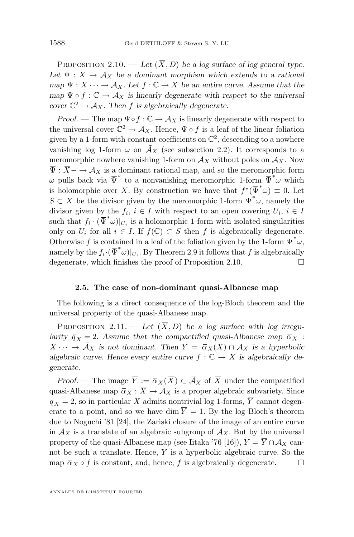<span id="page-14-0"></span>PROPOSITION 2.10. — Let  $(\overline{X}, D)$  be a log surface of log general type. Let  $\Psi: X \to A_X$  be a dominant morphism which extends to a rational *map*  $\overline{\Psi}$  :  $\overline{X}$   $\cdots$   $\rightarrow$   $\overline{A}_X$ *. Let*  $f : \mathbb{C} \rightarrow X$  *be an entire curve. Assume that the map*  $\Psi \circ f : \mathbb{C} \to \mathcal{A}_X$  *is linearly degenerate with respect to the universal cover*  $\mathbb{C}^2 \to \mathcal{A}_X$ . Then f *is algebraically degenerate.* 

*Proof.* — The map  $\Psi \circ f : \mathbb{C} \to \mathcal{A}_X$  is linearly degenerate with respect to the universal cover  $\mathbb{C}^2 \to \mathcal{A}_X$ . Hence,  $\Psi \circ f$  is a leaf of the linear foliation given by a 1-form with constant coefficients on  $\mathbb{C}^2$ , descending to a nowhere vanishing log 1-form  $\omega$  on  $\overline{A}_X$  (see subsection 2.2). It corresponds to a meromorphic nowhere vanishing 1-form on  $\overline{A}_X$  without poles on  $A_X$ . Now  $\overline{\Psi} : \overline{X} \to \overline{\mathcal{A}}_X$  is a dominant rational map, and so the meromorphic form  $ω$  pulls back via  $\overline{\Psi}^*$  to a nonvanishing meromorphic 1-form  $\overline{\Psi}^*$  which is holomorphic over X. By construction we have that  $f^*(\overline{\Psi}^*\omega) \equiv 0$ . Let  $S \subset \overline{X}$  be the divisor given by the meromorphic 1-form  $\overline{\Psi}^* \omega$ , namely the divisor given by the  $f_i, i \in I$  with respect to an open covering  $U_i, i \in I$ such that  $f_i \cdot (\overline{\Psi}^* \omega)|_{U_i}$  is a holomorphic 1-form with isolated singularities only on  $U_i$  for all  $i \in I$ . If  $f(\mathbb{C}) \subset S$  then f is algebraically degenerate. Otherwise f is contained in a leaf of the foliation given by the 1-form  $\overline{\Psi}^*\omega$ , namely by the  $f_i \cdot (\overline{\Psi}^* \omega)|_{U_i}$ . By Theorem [2.9](#page-13-0) it follows that f is algebraically degenerate, which finishes the proof of Proposition [2.10.](#page-13-0)  $\Box$ 

#### **2.5. The case of non-dominant quasi-Albanese map**

The following is a direct consequence of the log-Bloch theorem and the universal property of the quasi-Albanese map.

PROPOSITION 2.11. — Let  $(\overline{X}, D)$  be a log surface with log irregu*larity*  $\bar{q}_X = 2$ *. Assume that the compactified quasi-Albanese map*  $\bar{\alpha}_X$  :  $\overline{X}$   $\cdots$   $\rightarrow$   $\overline{A}_X$  *is not dominant. Then*  $Y = \overline{\alpha}_X(X) \cap A_X$  *is a hyperbolic algebraic curve. Hence every entire curve*  $f : \mathbb{C} \to X$  *is algebraically degenerate.*

*Proof.* — The image  $\overline{Y} := \overline{\alpha}_X(\overline{X}) \subset \overline{\mathcal{A}}_X$  of  $\overline{X}$  under the compactified quasi-Albanese map  $\overline{\alpha}_X : \overline{X} \to \overline{\mathcal{A}}_X$  is a proper algebraic subvariety. Since  $\overline{q}_X = 2$ , so in particular X admits nontrivial log 1-forms,  $\overline{Y}$  cannot degenerate to a point, and so we have dim  $\overline{Y} = 1$ . By the log Bloch's theorem due to Noguchi '81 [\[24\]](#page-36-0), the Zariski closure of the image of an entire curve in  $\mathcal{A}_X$  is a translate of an algebraic subgroup of  $\mathcal{A}_X$ . But by the universal property of the quasi-Albanese map (see Iitaka '76 [\[16\]](#page-35-0)),  $Y = \overline{Y} \cap \mathcal{A}_X$  cannot be such a translate. Hence, Y is a hyperbolic algebraic curve. So the map  $\bar{\alpha}_X \circ f$  is constant, and, hence, f is algebraically degenerate.  $\square$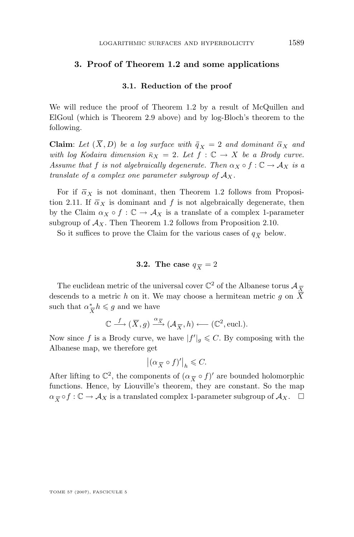#### **3. Proof of Theorem [1.2](#page-2-0) and some applications**

#### **3.1. Reduction of the proof**

We will reduce the proof of Theorem [1.2](#page-2-0) by a result of McQuillen and ElGoul (which is Theorem [2.9](#page-13-0) above) and by log-Bloch's theorem to the following.

**Claim**: Let  $(\overline{X}, D)$  be a log surface with  $\overline{q}_X = 2$  and dominant  $\overline{\alpha}_X$  and *with log Kodaira dimension*  $\bar{\kappa}_X = 2$ *. Let*  $f : \mathbb{C} \to X$  *be a Brody curve. Assume that* f *is not algebraically degenerate. Then*  $\alpha_X \circ f : \mathbb{C} \to \mathcal{A}_X$  *is a translate of a complex one parameter subgroup of*  $A_X$ .

For if  $\bar{\alpha}_X$  is not dominant, then Theorem [1.2](#page-2-0) follows from Proposi-tion [2.11.](#page-14-0) If  $\bar{\alpha}_X$  is dominant and f is not algebraically degenerate, then by the Claim  $\alpha_X \circ f : \mathbb{C} \to \mathcal{A}_X$  is a translate of a complex 1-parameter subgroup of  $A_X$ . Then Theorem [1.2](#page-2-0) follows from Proposition [2.10.](#page-13-0)

So it suffices to prove the Claim for the various cases of  $q_{\overline{X}}$  below.

#### **3.2.** The case  $q_{\overline{X}} = 2$

The euclidean metric of the universal cover  $\mathbb{C}^2$  of the Albanese torus  $\mathcal{A}_{\overline{X}}$ descends to a metric h on it. We may choose a hermitean metric g on  $\overline{X}$ such that  $\alpha^*$  $\frac{1}{X}h \leq g$  and we have

$$
\mathbb{C} \xrightarrow{f} (\overline{X}, g) \xrightarrow{\alpha_{\overline{X}}} (\mathcal{A}_{\overline{X}}, h) \longleftarrow (\mathbb{C}^2, \text{eucl.}).
$$

Now since f is a Brody curve, we have  $|f'|_g \leqslant C$ . By composing with the Albanese map, we therefore get

$$
|(\alpha_{\overline{X}} \circ f)'|_{h} \leqslant C.
$$

After lifting to  $\mathbb{C}^2$ , the components of  $(\alpha_{\overline{X}} \circ f)'$  are bounded holomorphic functions. Hence, by Liouville's theorem, they are constant. So the map  $\alpha_{\overline{X}} \circ f : \mathbb{C} \to \mathcal{A}_X$  is a translated complex 1-parameter subgroup of  $\mathcal{A}_X$ .  $\Box$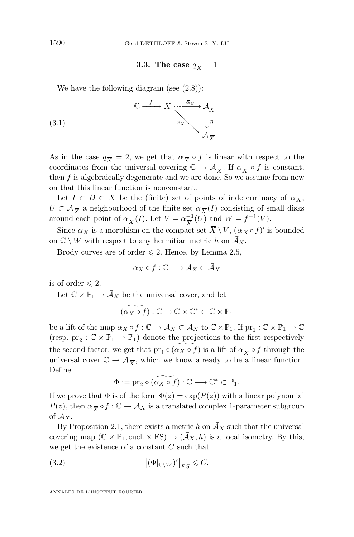#### **3.3.** The case  $q_{\overline{X}} = 1$

<span id="page-16-0"></span>We have the following diagram (see [\(2.8\)](#page-8-0)):

(3.1) 
$$
\mathbb{C} \xrightarrow{f} \overline{X} \xrightarrow{\overline{\alpha}_{X}} \overline{\mathcal{A}}_{X} \downarrow \pi
$$

$$
\alpha_{\overline{X}} \searrow \downarrow \pi
$$

$$
\mathcal{A}_{\overline{X}}
$$

As in the case  $q_{\overline{X}} = 2$ , we get that  $\alpha_{\overline{X}} \circ f$  is linear with respect to the coordinates from the universal covering  $\mathbb{C} \to \mathcal{A}_{\overline{X}}$ . If  $\alpha_{\overline{X}} \circ f$  is constant, then f is algebraically degenerate and we are done. So we assume from now on that this linear function is nonconstant.

Let  $I \subset D \subset \overline{X}$  be the (finite) set of points of indeterminacy of  $\overline{\alpha}_X$ ,  $U \subset \mathcal{A}_{\overline{X}}$  a neighborhood of the finite set  $\alpha_{\overline{X}}(I)$  consisting of small disks around each point of  $\alpha_{\overline{X}}(I)$ . Let  $V = \alpha_{\overline{X}}^{-1}$  $\frac{-1}{X}(U)$  and  $W = f^{-1}(V)$ .

Since  $\bar{\alpha}_X$  is a morphism on the compact set  $\bar{X} \setminus V$ ,  $(\bar{\alpha}_X \circ f)'$  is bounded on  $\mathbb{C} \setminus W$  with respect to any hermitian metric h on  $\overline{A}_{X}$ .

Brody curves are of order  $\leq 2$ . Hence, by Lemma [2.5,](#page-11-0)

$$
\alpha_X \circ f : \mathbb{C} \longrightarrow \mathcal{A}_X \subset \bar{\mathcal{A}}_X
$$

is of order  $\leq 2$ .

Let  $\mathbb{C}\times\mathbb{P}_1\to \bar{\mathcal{A}}_X$  be the universal cover, and let

$$
\widetilde{(\alpha_X \circ f)} : \mathbb{C} \to \mathbb{C} \times \mathbb{C}^* \subset \mathbb{C} \times \mathbb{P}_1
$$

be a lift of the map  $\alpha_X \circ f : \mathbb{C} \to \mathcal{A}_X \subset \overline{\mathcal{A}}_X$  to  $\mathbb{C} \times \mathbb{P}_1$ . If  $\text{pr}_1 : \mathbb{C} \times \mathbb{P}_1 \to \mathbb{C}$ (resp.  $\operatorname{pr}_2:\mathbb{C}\times\mathbb{P}_1\to\mathbb{P}_1)$  denote the projections to the first respectively the second factor, we get that  $\widetilde{\text{pr}_1 \circ (\alpha_X \circ f)}$  is a lift of  $\alpha_{\overline{X}} \circ f$  through the universal cover  $\mathbb{C} \to \mathcal{A}_{\overline{X}}$ , which we know already to be a linear function. Define

$$
\Phi := \mathrm{pr}_2 \circ \widetilde{(\alpha_X \circ f)} : \mathbb{C} \longrightarrow \mathbb{C}^* \subset \mathbb{P}_1.
$$

If we prove that  $\Phi$  is of the form  $\Phi(z) = \exp(P(z))$  with a linear polynomial  $P(z)$ , then  $\alpha_{\overline{X}} \circ f : \mathbb{C} \to \mathcal{A}_X$  is a translated complex 1-parameter subgroup of  $\mathcal{A}_X$ .

By Proposition [2.1,](#page-8-0) there exists a metric h on  $\overline{A}_X$  such that the universal covering map  $(\mathbb{C} \times \mathbb{P}_1,$  eucl.  $\times$  FS)  $\rightarrow (\bar{A}_X, h)$  is a local isometry. By this, we get the existence of a constant  $C$  such that

(3.2) 
$$
\left| \left( \Phi |_{\mathbb{C} \backslash W} \right)' \right|_{FS} \leqslant C.
$$

ANNALES DE L'INSTITUT FOURIER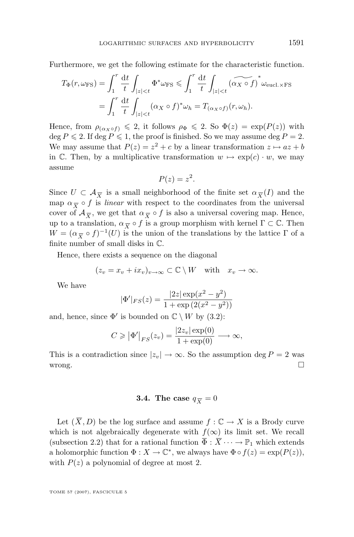<span id="page-17-0"></span>Furthermore, we get the following estimate for the characteristic function.

$$
T_{\Phi}(r, \omega_{\text{FS}}) = \int_{1}^{r} \frac{dt}{t} \int_{|z| < t} \Phi^* \omega_{\text{FS}} \le \int_{1}^{r} \frac{dt}{t} \int_{|z| < t} (\widetilde{\alpha_X \circ f})^* \omega_{\text{eucl.} \times \text{FS}}
$$
  
= 
$$
\int_{1}^{r} \frac{dt}{t} \int_{|z| < t} (\alpha_X \circ f)^* \omega_h = T_{(\alpha_X \circ f)}(r, \omega_h).
$$

Hence, from  $\rho_{(\alpha x \circ f)} \leq 2$ , it follows  $\rho_{\Phi} \leq 2$ . So  $\Phi(z) = \exp(P(z))$  with deg  $P \le 2$ . If deg  $P \le 1$ , the proof is finished. So we may assume deg  $P = 2$ . We may assume that  $P(z) = z^2 + c$  by a linear transformation  $z \mapsto az + b$ in C. Then, by a multiplicative transformation  $w \mapsto \exp(c) \cdot w$ , we may assume

$$
P(z) = z^2.
$$

Since  $U \subset \mathcal{A}_{\overline{X}}$  is a small neighborhood of the finite set  $\alpha_{\overline{X}}(I)$  and the map  $\alpha_{\overline{X}} \circ f$  is *linear* with respect to the coordinates from the universal cover of  $\mathcal{A}_{\overline{X}}$ , we get that  $\alpha_{\overline{X}} \circ f$  is also a universal covering map. Hence, up to a translation,  $\alpha_{\overline{X}} \circ f$  is a group morphism with kernel  $\Gamma \subset \mathbb{C}$ . Then  $W = (\alpha_{\overline{X}} \circ f)^{-1}(U)$  is the union of the translations by the lattice  $\Gamma$  of a finite number of small disks in C.

Hence, there exists a sequence on the diagonal

$$
(z_v = x_v + ix_v)_{v \to \infty} \subset \mathbb{C} \setminus W
$$
 with  $x_v \to \infty$ .

We have

$$
|\Phi'|_{FS}(z) = \frac{|2z| \exp(x^2 - y^2)}{1 + \exp(2(x^2 - y^2))}
$$

and, hence, since  $\Phi'$  is bounded on  $\mathbb{C} \setminus W$  by [\(3.2\)](#page-16-0):

$$
C \geqslant \left| \Phi' \right|_{FS}(z_v) = \frac{|2z_v| \exp(0)}{1 + \exp(0)} \longrightarrow \infty,
$$

This is a contradiction since  $|z_v| \to \infty$ . So the assumption deg  $P = 2$  was wrong.

#### **3.4.** The case  $q_{\overline{X}} = 0$

Let  $(\overline{X}, D)$  be the log surface and assume  $f : \mathbb{C} \to X$  is a Brody curve which is not algebraically degenerate with  $f(\infty)$  its limit set. We recall (subsection 2.2) that for a rational function  $\overline{\Phi}: \overline{X} \cdots \to \mathbb{P}_1$  which extends a holomorphic function  $\Phi: X \to \mathbb{C}^*$ , we always have  $\Phi \circ f(z) = \exp(P(z)),$ with  $P(z)$  a polynomial of degree at most 2.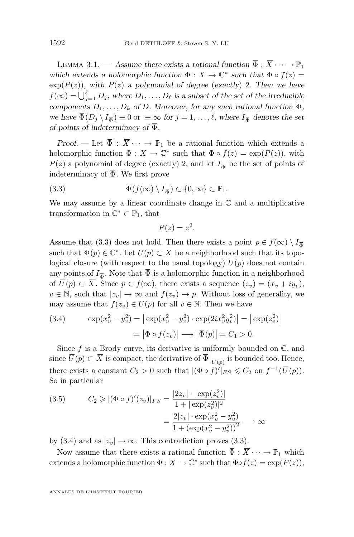<span id="page-18-0"></span>LEMMA 3.1. — *Assume there exists a rational function*  $\overline{\Phi}: \overline{X} \cdots \rightarrow \mathbb{P}_1$ which extends a holomorphic function  $\Phi : X \to \mathbb{C}^*$  such that  $\Phi \circ f(z) =$  $\exp(P(z))$ *, with*  $P(z)$  *a polynomial of degree* (*exactly*) 2*. Then we have*  $f(\infty) = \bigcup_{j=1}^{\ell} D_j$ , where  $D_1, \ldots, D_{\ell}$  is a subset of the set of the irreducible *components*  $D_1, \ldots, D_k$  *of* D. Moreover, for any such rational function  $\overline{\Phi}$ , *we have*  $\Phi(D_j \setminus I_{\overline{\Phi}}) \equiv 0$  or  $\equiv \infty$  for  $j = 1, \ldots, \ell$ , where  $I_{\overline{\Phi}}$  denotes the set *of points of indeterminacy of* Φ*.*

*Proof.* — Let  $\overline{\Phi}$  :  $\overline{X}$   $\cdots$   $\rightarrow$   $\mathbb{P}_1$  be a rational function which extends a holomorphic function  $\Phi: X \to \mathbb{C}^*$  such that  $\Phi \circ f(z) = \exp(P(z))$ , with  $P(z)$  a polynomial of degree (exactly) 2, and let  $I_{\overline{\Phi}}$  be the set of points of indeterminacy of  $\overline{\Phi}$ . We first prove

(3.3) 
$$
\overline{\Phi}(f(\infty) \setminus I_{\overline{\Phi}}) \subset \{0, \infty\} \subset \mathbb{P}_1.
$$

We may assume by a linear coordinate change in  $\mathbb C$  and a multiplicative transformation in  $\mathbb{C}^* \subset \mathbb{P}_1$ , that

$$
P(z) = z^2.
$$

Assume that (3.3) does not hold. Then there exists a point  $p \in f(\infty) \setminus I_{\overline{\Phi}}$ such that  $\overline{\Phi}(p) \in \mathbb{C}^*$ . Let  $U(p) \subset \overline{X}$  be a neighborhood such that its topological closure (with respect to the usual topology)  $\bar{U}(p)$  does not contain any points of  $I_{\overline{\Phi}}$ . Note that  $\Phi$  is a holomorphic function in a neighborhood of  $\overline{U}(p) \subset \overline{X}$ . Since  $p \in f(\infty)$ , there exists a sequence  $(z_v) = (x_v + iy_v)$ ,  $v \in \mathbb{N}$ , such that  $|z_v| \to \infty$  and  $f(z_v) \to p$ . Without loss of generality, we may assume that  $f(z_v) \in U(p)$  for all  $v \in \mathbb{N}$ . Then we have

(3.4) 
$$
\exp(x_v^2 - y_v^2) = |\exp(x_v^2 - y_v^2) \cdot \exp(2ix_v^2y_v^2)| = |\exp(z_v^2)|
$$

$$
= |\Phi \circ f(z_v)| \longrightarrow |\overline{\Phi}(p)| = C_1 > 0.
$$

Since f is a Brody curve, its derivative is uniformly bounded on  $\mathbb{C}$ , and since  $U(p) \subset X$  is compact, the derivative of  $\Phi|_{\overline{U}(p)}$  is bounded too. Hence, there exists a constant  $C_2 > 0$  such that  $|(\Phi \circ f)'|_{FS} \leq C_2$  on  $f^{-1}(\overline{U}(p))$ . So in particular

(3.5) 
$$
C_2 \ge |(\Phi \circ f)'(z_v)|_{FS} = \frac{|2z_v| \cdot |\exp(z_v^2)|}{1 + |\exp(z_v^2)|^2} = \frac{2|z_v| \cdot \exp(x_v^2 - y_v^2)}{1 + (\exp(x_v^2 - y_v^2))^2} \longrightarrow \infty
$$

by (3.4) and as  $|z_v| \to \infty$ . This contradiction proves (3.3).

Now assume that there exists a rational function  $\overline{\Phi} : \overline{X} \cdots \to \mathbb{P}_1$  which extends a holomorphic function  $\Phi: X \to \mathbb{C}^*$  such that  $\Phi \circ f(z) = \exp(P(z)),$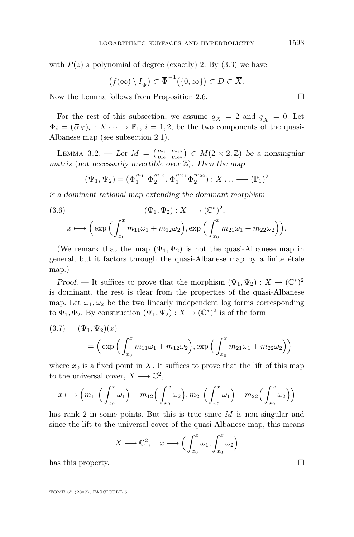with  $P(z)$  a polynomial of degree (exactly) 2. By  $(3.3)$  we have

$$
(f(\infty)\setminus I_{\overline{\Phi}})\subset \overline{\Phi}^{-1}(\{0,\infty\})\subset D\subset \overline{X}.
$$

Now the Lemma follows from Proposition [2.6.](#page-12-0)

For the rest of this subsection, we assume  $\bar{q}_X = 2$  and  $q_{\overline{X}} = 0$ . Let  $\overline{\Phi}_i = (\overline{\alpha}_X)_i : \overline{X} \cdots \to \mathbb{P}_1, i = 1, 2$ , be the two components of the quasi-Albanese map (see subsection 2.1).

LEMMA 3.2. — Let  $M = \binom{m_{11} \ m_{21}}{m_{21} \ m_{22}} \in M(2 \times 2, \mathbb{Z})$  be a nonsingular *matrix* (*not necessarily invertible over* Z)*. Then the map*

$$
(\overline{\Psi}_1, \overline{\Psi}_2) = (\overline{\Phi}_1^{m_{11}} \overline{\Phi}_2^{m_{12}}, \overline{\Phi}_1^{m_{21}} \overline{\Phi}_2^{m_{22}}) : \overline{X} \dots \longrightarrow (\mathbb{P}_1)^2
$$

*is a dominant rational map extending the dominant morphism*

(3.6)  
\n
$$
(\Psi_1, \Psi_2) : X \longrightarrow (\mathbb{C}^*)^2,
$$
\n
$$
x \longmapsto \Big(\exp\Big(\int_{x_0}^x m_{11}\omega_1 + m_{12}\omega_2\Big), \exp\Big(\int_{x_0}^x m_{21}\omega_1 + m_{22}\omega_2\Big)\Big).
$$

(We remark that the map  $(\Psi_1, \Psi_2)$  is not the quasi-Albanese map in general, but it factors through the quasi-Albanese map by a finite étale map.)

*Proof.* — It suffices to prove that the morphism  $(\Psi_1, \Psi_2) : X \to (\mathbb{C}^*)^2$ is dominant, the rest is clear from the properties of the quasi-Albanese map. Let  $\omega_1, \omega_2$  be the two linearly independent log forms corresponding to  $\Phi_1, \Phi_2$ . By construction  $(\Psi_1, \Psi_2) : X \to (\mathbb{C}^*)^2$  is of the form

(3.7) 
$$
(\Psi_1, \Psi_2)(x) = \left(\exp\left(\int_{x_0}^x m_{11}\omega_1 + m_{12}\omega_2\right), \exp\left(\int_{x_0}^x m_{21}\omega_1 + m_{22}\omega_2\right)\right)
$$

where  $x_0$  is a fixed point in X. It suffices to prove that the lift of this map to the universal cover,  $X \longrightarrow \mathbb{C}^2$ ,

$$
x \longmapsto \left(m_{11}\left(\int_{x_0}^x \omega_1\right) + m_{12}\left(\int_{x_0}^x \omega_2\right), m_{21}\left(\int_{x_0}^x \omega_1\right) + m_{22}\left(\int_{x_0}^x \omega_2\right)\right)
$$

has rank 2 in some points. But this is true since M is non singular and since the lift to the universal cover of the quasi-Albanese map, this means

$$
X \longrightarrow \mathbb{C}^2, \quad x \longmapsto \Big(\int_{x_0}^x \omega_1, \int_{x_0}^x \omega_2\Big)
$$

has this property.

TOME 57 (2007), FASCICULE 5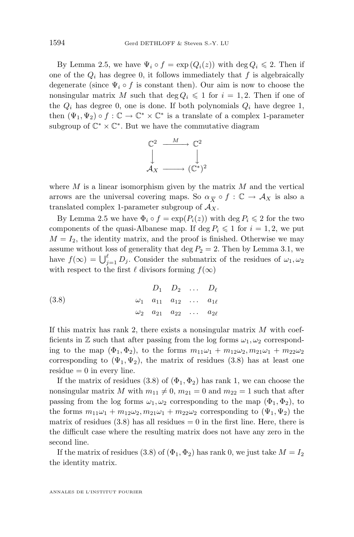By Lemma [2.5,](#page-11-0) we have  $\Psi_i \circ f = \exp(Q_i(z))$  with  $\deg Q_i \leq 2$ . Then if one of the  $Q_i$  has degree 0, it follows immediately that f is algebraically degenerate (since  $\Psi_i \circ f$  is constant then). Our aim is now to choose the nonsingular matrix M such that  $\deg Q_i \leq 1$  for  $i = 1, 2$ . Then if one of the  $Q_i$  has degree 0, one is done. If both polynomials  $Q_i$  have degree 1, then  $(\Psi_1, \Psi_2) \circ f : \mathbb{C} \to \mathbb{C}^* \times \mathbb{C}^*$  is a translate of a complex 1-parameter subgroup of  $\mathbb{C}^* \times \mathbb{C}^*$ . But we have the commutative diagram



where  $M$  is a linear isomorphism given by the matrix  $M$  and the vertical arrows are the universal covering maps. So  $\alpha_{\overline{X}} \circ f : \mathbb{C} \to \mathcal{A}_X$  is also a translated complex 1-parameter subgroup of  $A_X$ .

By Lemma [2.5](#page-11-0) we have  $\Phi_i \circ f = \exp(P_i(z))$  with  $\deg P_i \leq 2$  for the two components of the quasi-Albanese map. If deg  $P_i \leq 1$  for  $i = 1, 2$ , we put  $M = I_2$ , the identity matrix, and the proof is finished. Otherwise we may assume without loss of generality that deg  $P_2 = 2$ . Then by Lemma [3.1,](#page-17-0) we have  $f(\infty) = \bigcup_{j=1}^{\ell} D_j$ . Consider the submatrix of the residues of  $\omega_1, \omega_2$ with respect to the first  $\ell$  divisors forming  $f(\infty)$ 

(3.8) 
$$
D_1 \t D_2 \t ... \t D_\ell
$$

$$
\omega_1 \t a_{11} \t a_{12} \t ... \t a_{1\ell}
$$

$$
\omega_2 \t a_{21} \t a_{22} \t ... \t a_{2\ell}
$$

If this matrix has rank 2, there exists a nonsingular matrix  $M$  with coefficients in Z such that after passing from the log forms  $\omega_1, \omega_2$  corresponding to the map  $(\Phi_1, \Phi_2)$ , to the forms  $m_{11}\omega_1 + m_{12}\omega_2, m_{21}\omega_1 + m_{22}\omega_2$ corresponding to  $(\Psi_1, \Psi_2)$ , the matrix of residues (3.8) has at least one residue  $= 0$  in every line.

If the matrix of residues (3.8) of  $(\Phi_1, \Phi_2)$  has rank 1, we can choose the nonsingular matrix M with  $m_{11} \neq 0$ ,  $m_{21} = 0$  and  $m_{22} = 1$  such that after passing from the log forms  $\omega_1, \omega_2$  corresponding to the map  $(\Phi_1, \Phi_2)$ , to the forms  $m_{11}\omega_1 + m_{12}\omega_2, m_{21}\omega_1 + m_{22}\omega_2$  corresponding to  $(\Psi_1, \Psi_2)$  the matrix of residues  $(3.8)$  has all residues  $= 0$  in the first line. Here, there is the difficult case where the resulting matrix does not have any zero in the second line.

If the matrix of residues (3.8) of  $(\Phi_1, \Phi_2)$  has rank 0, we just take  $M = I_2$ the identity matrix.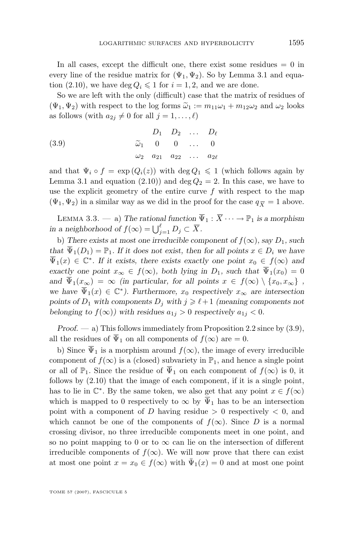<span id="page-21-0"></span>In all cases, except the difficult one, there exist some residues  $= 0$  in every line of the residue matrix for  $(\Psi_1, \Psi_2)$ . So by Lemma [3.1](#page-17-0) and equa-tion [\(2.10\)](#page-8-0), we have deg  $Q_i \leq 1$  for  $i = 1, 2$ , and we are done.

So we are left with the only (difficult) case that the matrix of residues of  $(\Psi_1, \Psi_2)$  with respect to the log forms  $\tilde{\omega}_1 := m_{11}\omega_1 + m_{12}\omega_2$  and  $\omega_2$  looks as follows (with  $a_{2i} \neq 0$  for all  $j = 1, \ldots, \ell$ )

(3.9) 
$$
D_1 \t D_2 \t ... \t D_\ell \n\widetilde{\omega}_1 \t 0 \t 0 \t ... \t 0 \n\omega_2 \t a_{21} \t a_{22} \t ... \t a_{2\ell}
$$

and that  $\Psi_i \circ f = \exp(Q_i(z))$  with  $\deg Q_1 \leq 1$  (which follows again by Lemma [3.1](#page-17-0) and equation [\(2.10\)](#page-8-0)) and deg  $Q_2 = 2$ . In this case, we have to use the explicit geometry of the entire curve  $f$  with respect to the map  $(\Psi_1, \Psi_2)$  in a similar way as we did in the proof for the case  $q_{\overline{X}} = 1$  above.

LEMMA 3.3. — a) The rational function  $\overline{\Psi}_1 : \overline{X} \cdots \to \mathbb{P}_1$  is a morphism *in a neighborhood of*  $f(\infty) = \bigcup_{j=1}^{\ell} D_j \subset \overline{X}$ .

b) There exists at most one irreducible component of  $f(\infty)$ , say  $D_1$ , such *that*  $\overline{\Psi}_1(D_1) = \mathbb{P}_1$ *. If it does not exist, then for all points*  $x \in D_i$  *we have*  $\overline{\Psi}_1(x) \in \mathbb{C}^*$ . If it exists, there exists exactly one point  $x_0 \in f(\infty)$  and *exactly one point*  $x_{\infty} \in f(\infty)$ *, both lying in*  $D_1$ *, such that*  $\overline{\Psi}_1(x_0) = 0$ *and*  $\overline{\Psi}_1(x_\infty) = \infty$  *(in particular, for all points*  $x \in f(\infty) \setminus \{x_0, x_\infty\}$ , *we have*  $\overline{\Psi}_1(x) \in \mathbb{C}^*$ *). Furthermore,*  $x_0$  *respectively*  $x_\infty$  *are intersection* points of  $D_1$  with components  $D_j$  with  $j \geq \ell + 1$  *(meaning components not belonging to*  $f(\infty)$ *)* with residues  $a_{1j} > 0$  respectively  $a_{1j} < 0$ .

*Proof.* — a) This follows immediately from Proposition [2.2](#page-9-0) since by  $(3.9)$ , all the residues of  $\overline{\Psi}_1$  on all components of  $f(\infty)$  are  $= 0$ .

b) Since  $\overline{\Psi}_1$  is a morphism around  $f(\infty)$ , the image of every irreducible component of  $f(\infty)$  is a (closed) subvariety in  $\mathbb{P}_1$ , and hence a single point or all of  $\mathbb{P}_1$ . Since the residue of  $\overline{\Psi}_1$  on each component of  $f(\infty)$  is 0, it follows by  $(2.10)$  that the image of each component, if it is a single point, has to lie in  $\mathbb{C}^*$ . By the same token, we also get that any point  $x \in f(\infty)$ which is mapped to 0 respectively to  $\infty$  by  $\overline{\Psi}_1$  has to be an intersection point with a component of D having residue  $> 0$  respectively  $< 0$ , and which cannot be one of the components of  $f(\infty)$ . Since D is a normal crossing divisor, no three irreducible components meet in one point, and so no point mapping to 0 or to  $\infty$  can lie on the intersection of different irreducible components of  $f(\infty)$ . We will now prove that there can exist at most one point  $x = x_0 \in f(\infty)$  with  $\overline{\Psi}_1(x) = 0$  and at most one point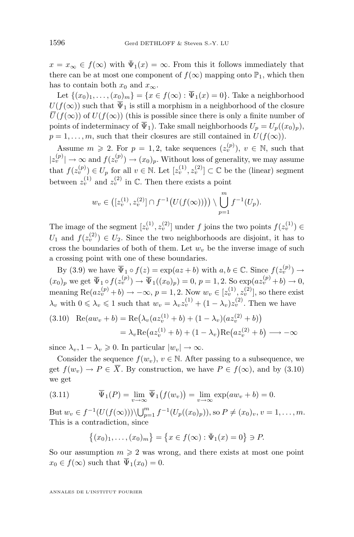<span id="page-22-0"></span> $x = x_{\infty} \in f(\infty)$  with  $\bar{\Psi}_1(x) = \infty$ . From this it follows immediately that there can be at most one component of  $f(\infty)$  mapping onto  $\mathbb{P}_1$ , which then has to contain both  $x_0$  and  $x_\infty$ .

Let  $\{(x_0)_1, \ldots, (x_0)_m\} = \{x \in f(\infty) : \overline{\Psi}_1(x) = 0\}$ . Take a neighborhood  $U(f(\infty))$  such that  $\overline{\Psi}_1$  is still a morphism in a neighborhood of the closure  $\overline{U}(f(\infty))$  of  $U(f(\infty))$  (this is possible since there is only a finite number of points of indeterminacy of  $\overline{\Psi}_1$ ). Take small neighborhoods  $U_p = U_p((x_0)_p)$ ,  $p = 1, \ldots, m$ , such that their closures are still contained in  $U(f(\infty))$ .

Assume  $m \geq 2$ . For  $p = 1, 2$ , take sequences  $(z_v^{(p)})$ ,  $v \in \mathbb{N}$ , such that  $|z_v^{(p)}| \to \infty$  and  $f(z_v^{(p)}) \to (x_0)_p$ . Without loss of generality, we may assume that  $f(z_v^{(p)}) \in U_p$  for all  $v \in \mathbb{N}$ . Let  $[z_v^{(1)}, z_v^{(2)}] \subset \mathbb{C}$  be the (linear) segment between  $z_v^{(1)}$  and  $z_v^{(2)}$  in  $\mathbb{C}$ . Then there exists a point

$$
w_v \in ([z_v^{(1)}, z_v^{(2)}] \cap f^{-1}(U(f(\infty)))) \setminus \bigcup_{p=1}^m f^{-1}(U_p).
$$

The image of the segment  $[z_v^{(1)}, z_v^{(2)}]$  under f joins the two points  $f(z_v^{(1)}) \in$  $U_1$  and  $f(z_i^{(2)}) \in U_2$ . Since the two neighborhoods are disjoint, it has to cross the boundaries of both of them. Let  $w<sub>v</sub>$  be the inverse image of such a crossing point with one of these boundaries.

By [\(3.9\)](#page-21-0) we have  $\overline{\Psi}_1 \circ f(z) = \exp(az + b)$  with  $a, b \in \mathbb{C}$ . Since  $f(z_v^{(p)}) \to$  $(x_0)_p$  we get  $\overline{\Psi}_1 \circ f(z_v^{(p)}) \to \overline{\Psi}_1((x_0)_p) = 0, p = 1, 2$ . So  $\exp(az_v^{(p)} + b) \to 0$ , meaning  $\text{Re}(az_v^{(p)}+b) \to -\infty$ ,  $p=1,2$ . Now  $w_v \in [z_v^{(1)}, z_v^{(2)}]$ , so there exist  $\lambda_v$  with  $0 \le \lambda_v \le 1$  such that  $w_v = \lambda_v z_v^{(1)} + (1 - \lambda_v) z_v^{(2)}$ . Then we have

$$
(3.10) \quad \text{Re}(aw_v + b) = \text{Re}(\lambda_v(az_v^{(1)} + b) + (1 - \lambda_v)(az_v^{(2)} + b))
$$
\n
$$
= \lambda_v \text{Re}(az_v^{(1)} + b) + (1 - \lambda_v)\text{Re}(az_v^{(2)} + b) \longrightarrow -\infty
$$

since  $\lambda_v, 1 - \lambda_v \geq 0$ . In particular  $|w_v| \to \infty$ .

Consider the sequence  $f(w_n), v \in \mathbb{N}$ . After passing to a subsequence, we get  $f(w_v) \to P \in \overline{X}$ . By construction, we have  $P \in f(\infty)$ , and by (3.10) we get

(3.11) 
$$
\overline{\Psi}_1(P) = \lim_{v \to \infty} \overline{\Psi}_1(f(w_v)) = \lim_{v \to \infty} \exp(aw_v + b) = 0.
$$

But  $w_v \in f^{-1}(U(f(\infty))) \setminus \bigcup_{p=1}^m f^{-1}(U_p((x_0)_p)),$  so  $P \neq (x_0)_v, v = 1, \ldots, m$ . This is a contradiction, since

$$
\{(x_0)_1,\ldots,(x_0)_m\} = \{x \in f(\infty) : \bar{\Psi}_1(x) = 0\} \ni P.
$$

So our assumption  $m \geq 2$  was wrong, and there exists at most one point  $x_0 \in f(\infty)$  such that  $\overline{\Psi}_1(x_0) = 0$ .

ANNALES DE L'INSTITUT FOURIER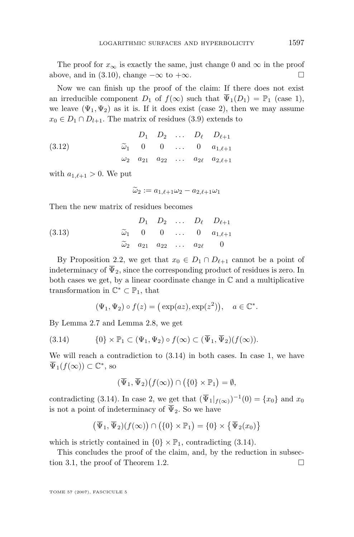The proof for  $x_{\infty}$  is exactly the same, just change 0 and  $\infty$  in the proof above, and in [\(3.10\)](#page-22-0), change  $-\infty$  to  $+\infty$ .

Now we can finish up the proof of the claim: If there does not exist an irreducible component  $D_1$  of  $f(\infty)$  such that  $\overline{\Psi}_1(D_1) = \mathbb{P}_1$  (case 1), we leave  $(\Psi_1, \Psi_2)$  as it is. If it does exist (case 2), then we may assume  $x_0 \in D_1 \cap D_{l+1}$ . The matrix of residues [\(3.9\)](#page-21-0) extends to

(3.12) 
$$
D_1 \t D_2 \t ... \t D_\ell \t D_{\ell+1}
$$

$$
\tilde{\omega}_1 \t 0 \t 0 \t ... \t 0 \t a_{1,\ell+1}
$$

$$
\omega_2 \t a_{21} \t a_{22} \t ... \t a_{2\ell} \t a_{2,\ell+1}
$$

with  $a_{1,\ell+1} > 0$ . We put

 $\widetilde{\omega}_2 := a_{1,\ell+1}\omega_2 - a_{2,\ell+1}\omega_1$ 

Then the new matrix of residues becomes

(3.13) 
$$
D_1 \t D_2 \t ... \t D_\ell \t D_{\ell+1}
$$

$$
\widetilde{\omega}_1 \t 0 \t 0 \t ... \t 0 \t a_{1,\ell+1}
$$

$$
\widetilde{\omega}_2 \t a_{21} \t a_{22} \t ... \t a_{2\ell} \t 0
$$

By Proposition [2.2,](#page-9-0) we get that  $x_0 \in D_1 \cap D_{\ell+1}$  cannot be a point of indeterminacy of  $\overline{\Psi}_2$ , since the corresponding product of residues is zero. In both cases we get, by a linear coordinate change in  $\mathbb C$  and a multiplicative transformation in  $\mathbb{C}^* \subset \mathbb{P}_1$ , that

$$
(\Psi_1, \Psi_2) \circ f(z) = (\exp(az), \exp(z^2)), \quad a \in \mathbb{C}^*.
$$

By Lemma [2.7](#page-12-0) and Lemma [2.8,](#page-12-0) we get

(3.14) 
$$
\{0\} \times \mathbb{P}_1 \subset (\Psi_1, \Psi_2) \circ f(\infty) \subset (\overline{\Psi}_1, \overline{\Psi}_2)(f(\infty)).
$$

We will reach a contradiction to  $(3.14)$  in both cases. In case 1, we have  $\overline{\Psi}_1(f(\infty)) \subset \mathbb{C}^*$ , so

$$
(\overline{\Psi}_1, \overline{\Psi}_2)(f(\infty)) \cap (\{0\} \times \mathbb{P}_1) = \emptyset,
$$

contradicting (3.14). In case 2, we get that  $(\overline{\Psi}_1|_{f(\infty)})^{-1}(0) = \{x_0\}$  and  $x_0$ is not a point of indeterminacy of  $\overline{\Psi}_2$ . So we have

$$
(\overline{\Psi}_1, \overline{\Psi}_2)(f(\infty)) \cap (\{0\} \times \mathbb{P}_1) = \{0\} \times {\overline{\Psi}_2(x_0)}
$$

which is strictly contained in  $\{0\} \times \mathbb{P}_1$ , contradicting  $(3.14)$ .

This concludes the proof of the claim, and, by the reduction in subsec-tion 3.1, the proof of Theorem [1.2.](#page-2-0)  $\Box$ 

TOME 57 (2007), FASCICULE 5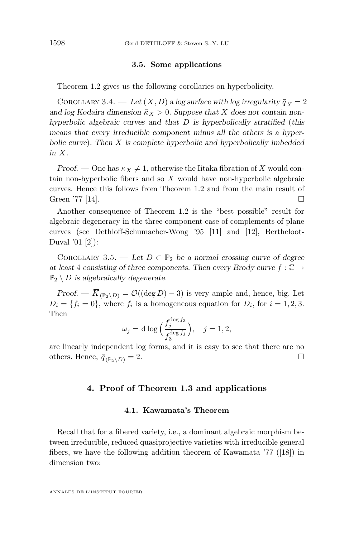#### **3.5. Some applications**

<span id="page-24-0"></span>Theorem [1.2](#page-2-0) gives us the following corollaries on hyperbolicity.

COROLLARY 3.4. — Let  $(\overline{X}, D)$  a log surface with log irregularity  $\overline{q}_X = 2$ and log Kodaira dimension  $\bar{\kappa}_X > 0$ . Suppose that X does not contain non*hyperbolic algebraic curves and that* D *is hyperbolically stratified* (*this means that every irreducible component minus all the others is a hyperbolic curve*)*. Then* X *is complete hyperbolic and hyperbolically imbedded in*  $\overline{X}$ *.* 

*Proof.* — One has  $\bar{\kappa}_X \neq 1$ , otherwise the Iitaka fibration of X would contain non-hyperbolic fibers and so X would have non-hyperbolic algebraic curves. Hence this follows from Theorem [1.2](#page-2-0) and from the main result of Green '77 [\[14\]](#page-35-0).  $\Box$ 

Another consequence of Theorem [1.2](#page-2-0) is the "best possible" result for algebraic degeneracy in the three component case of complements of plane curves (see Dethloff-Schumacher-Wong '95 [\[11\]](#page-35-0) and [\[12\]](#page-35-0), Bertheloot-Duval '01 [\[2\]](#page-35-0)):

COROLLARY 3.5. — Let  $D \subset \mathbb{P}_2$  be a normal crossing curve of degree *at least* 4 *consisting of three components. Then every Brody curve*  $f : \mathbb{C} \to$  $\mathbb{P}_2 \setminus D$  *is algebraically degenerate.* 

*Proof.* —  $\overline{K}_{(\mathbb{P}_2 \setminus D)} = \mathcal{O}((\deg D) - 3)$  is very ample and, hence, big. Let  $D_i = \{f_i = 0\}$ , where  $f_i$  is a homogeneous equation for  $D_i$ , for  $i = 1, 2, 3$ . Then

$$
\omega_j = \mathrm{d} \log \Big( \frac{f_j^{\deg f_3}}{f_3^{\deg f_j}} \Big), \quad j = 1, 2,
$$

are linearly independent log forms, and it is easy to see that there are no others. Hence,  $\bar{q}_{(\mathbb{P}_2 \setminus D)} = 2$ .

#### **4. Proof of Theorem [1.3](#page-3-0) and applications**

#### **4.1. Kawamata's Theorem**

Recall that for a fibered variety, i.e., a dominant algebraic morphism between irreducible, reduced quasiprojective varieties with irreducible general fibers, we have the following addition theorem of Kawamata '77 ([\[18\]](#page-35-0)) in dimension two: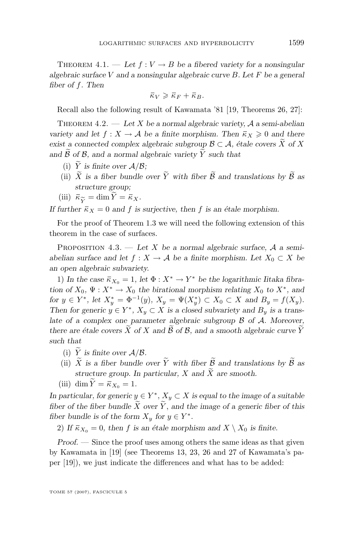<span id="page-25-0"></span>THEOREM 4.1. — Let  $f: V \to B$  be a fibered variety for a nonsingular *algebraic surface* V *and a nonsingular algebraic curve* B*. Let* F *be a general fiber of* f*. Then*

$$
\bar{\kappa}_V \geqslant \bar{\kappa}_F + \bar{\kappa}_B.
$$

Recall also the following result of Kawamata '81 [\[19,](#page-35-0) Theorems 26, 27]:

Theorem 4.2. — *Let* X *be a normal algebraic variety,* A *a semi-abelian variety and let*  $f : X \to \mathcal{A}$  *be a finite morphism. Then*  $\overline{\kappa}_X \geq 0$  *and there exist a connected complex algebraic subgroup*  $\mathcal{B} \subset \mathcal{A}$ *, étale covers* X of X and  $\widetilde{\mathcal{B}}$  of  $\mathcal{B}$ , and a normal algebraic variety  $\widetilde{Y}$  such that

- (i)  $\widetilde{Y}$  *is finite over*  $A/B$ ;
- (ii)  $\widetilde{X}$  is a fiber bundle over  $\widetilde{Y}$  with fiber  $\widetilde{\mathcal{B}}$  and translations by  $\widetilde{\mathcal{B}}$  as *structure group;*
- (iii)  $\bar{\kappa}_{\widetilde{Y}} = \dim \widetilde{Y} = \bar{\kappa}_X.$

*If further*  $\bar{\kappa}_X = 0$  *and f is surjective, then f is an étale morphism.* 

For the proof of Theorem [1.3](#page-3-0) we will need the following extension of this theorem in the case of surfaces.

Proposition 4.3. — *Let* X *be a normal algebraic surface,* A *a semiabelian surface and let*  $f : X \to \mathcal{A}$  *be a finite morphism. Let*  $X_0 \subset X$  *be an open algebraic subvariety.*

1) In the case  $\bar{\kappa}_{X_0} = 1$ , let  $\Phi: X^* \to Y^*$  be the logarithmic Iitaka fibra*tion of*  $X_0$ ,  $\Psi: X^* \to X_0$  *the birational morphism relating*  $X_0$  *to*  $X^*$ *, and for*  $y \in Y^*$ , let  $X^*_y = \Phi^{-1}(y)$ ,  $X_y = \Psi(X^*_y) \subset X_0 \subset X$  and  $B_y = f(X_y)$ . *Then for generic*  $y \in Y^*$ ,  $X_y \subset X$  *is a closed subvariety and*  $B_y$  *is a translate of a complex one parameter algebraic subgroup* B *of* A*. Moreover, there are étale covers*  $\tilde{X}$  *of*  $X$  *and*  $\tilde{B}$  *of*  $\tilde{B}$ *, and a smooth algebraic curve*  $\tilde{Y}$ *such that*

- (i) Y is finite over  $A/B$ .
- (ii)  $\widetilde{X}$  *is a fiber bundle over*  $\widetilde{Y}$  *with fiber*  $\widetilde{B}$  *and translations by*  $\widetilde{B}$  *as structure group.* In particular,  $X$  and  $\overline{X}$  are smooth.
- (iii) dim  $\tilde{Y} = \bar{\kappa}_{X_0} = 1$ .

*In particular, for generic*  $y \in Y^*$ ,  $X_y \subset X$  *is equal to the image of a suitable fiber of the fiber bundle*  $\widetilde{X}$  *over*  $\widetilde{Y}$ *, and the image of a generic fiber of this fiber bundle is of the form*  $X_y$  *for*  $y \in Y^*$ *.* 

2) If  $\bar{\kappa}_{X_0} = 0$ , then f is an étale morphism and  $X \setminus X_0$  is finite.

*Proof. —* Since the proof uses among others the same ideas as that given by Kawamata in [\[19\]](#page-35-0) (see Theorems 13, 23, 26 and 27 of Kawamata's paper [\[19\]](#page-35-0)), we just indicate the differences and what has to be added: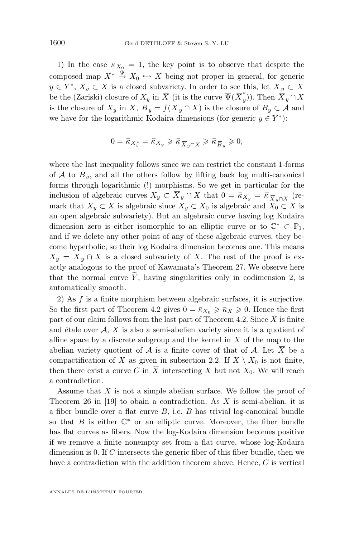1) In the case  $\bar{\kappa}_{X_0} = 1$ , the key point is to observe that despite the composed map  $X^* \stackrel{\Psi}{\rightarrow} X_0 \hookrightarrow X$  being not proper in general, for generic  $y \in Y^*, X_y \subset X$  is a closed subvariety. In order to see this, let  $\overline{X}_y \subset \overline{X}$ be the (Zariski) closure of  $X_y$  in  $\overline{X}$  (it is the curve  $\overline{\Psi}(\overline{X}_y^*)$  $(y^{\pi}(y))$ . Then  $X_y \cap X$ is the closure of  $X_y$  in  $X, \overline{B}_y = f(\overline{X}_y \cap X)$  is the closure of  $B_y \subset A$  and we have for the logarithmic Kodaira dimensions (for generic  $y \in Y^*$ ):

$$
0 = \overline{\kappa}_{X_y^*} = \overline{\kappa}_{X_y} \geqslant \overline{\kappa}_{\overline{X}_y \cap X} \geqslant \overline{\kappa}_{\overline{B}_y} \geqslant 0,
$$

where the last inequality follows since we can restrict the constant 1-forms of A to  $\overline{B}_y$ , and all the others follow by lifting back log multi-canonical forms through logarithmic (!) morphisms. So we get in particular for the inclusion of algebraic curves  $X_y \subset X_y \cap X$  that  $0 = \bar{\kappa}_{X_y} = \bar{\kappa}_{\bar{X}_y \cap X}$  (remark that  $X_y \subset X$  is algebraic since  $X_y \subset X_0$  is algebraic and  $X_0 \subset X$  is an open algebraic subvariety). But an algebraic curve having log Kodaira dimension zero is either isomorphic to an elliptic curve or to  $\mathbb{C}^* \subset \mathbb{P}_1$ , and if we delete any other point of any of these algebraic curves, they become hyperbolic, so their log Kodaira dimension becomes one. This means  $X_y = \overline{X}_y \cap X$  is a closed subvariety of X. The rest of the proof is exactly analogous to the proof of Kawamata's Theorem 27. We observe here that the normal curve  $\tilde{Y}$ , having singularities only in codimension 2, is automatically smooth.

2) As  $f$  is a finite morphism between algebraic surfaces, it is surjective. So the first part of Theorem [4.2](#page-25-0) gives  $0 = \bar{\kappa}_{X_0} \geq \bar{\kappa}_X \geq 0$ . Hence the first part of our claim follows from the last part of Theorem [4.2.](#page-25-0) Since  $X$  is finite and étale over  $A, X$  is also a semi-abelien variety since it is a quotient of affine space by a discrete subgroup and the kernel in  $X$  of the map to the abelian variety quotient of  $A$  is a finite cover of that of  $A$ . Let X be a compactification of X as given in subsection 2.2. If  $X \setminus X_0$  is not finite, then there exist a curve C in  $\overline{X}$  intersecting X but not  $X_0$ . We will reach a contradiction.

Assume that  $X$  is not a simple abelian surface. We follow the proof of Theorem 26 in [\[19\]](#page-35-0) to obain a contradiction. As X is semi-abelian, it is a fiber bundle over a flat curve  $B$ , i.e.  $B$  has trivial log-canonical bundle so that  $B$  is either  $\mathbb{C}^*$  or an elliptic curve. Moreover, the fiber bundle has flat curves as fibers. Now the log-Kodaira dimension becomes positive if we remove a finite nonempty set from a flat curve, whose log-Kodaira dimension is 0. If C intersects the generic fiber of this fiber bundle, then we have a contradiction with the addition theorem above. Hence, C is vertical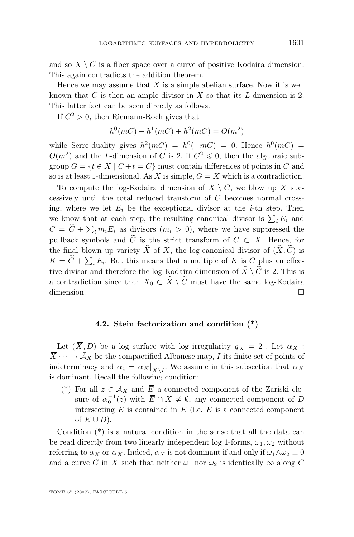and so  $X \setminus C$  is a fiber space over a curve of positive Kodaira dimension. This again contradicts the addition theorem.

Hence we may assume that  $X$  is a simple abelian surface. Now it is well known that C is then an ample divisor in X so that its L-dimension is 2. This latter fact can be seen directly as follows.

If  $C^2 > 0$ , then Riemann-Roch gives that

$$
h^{0}(mC) - h^{1}(mC) + h^{2}(mC) = O(m^{2})
$$

while Serre-duality gives  $h^2(mC) = h^0(-mC) = 0$ . Hence  $h^0(mC) =$  $O(m^2)$  and the L-dimension of C is 2. If  $C^2 \leq 0$ , then the algebraic subgroup  $G = \{t \in X \mid C + t = C\}$  must contain differences of points in C and so is at least 1-dimensional. As X is simple,  $G = X$  which is a contradiction.

To compute the log-Kodaira dimension of  $X \setminus C$ , we blow up X successively until the total reduced transform of C becomes normal crossing, where we let  $E_i$  be the exceptional divisor at the *i*-th step. Then we know that at each step, the resulting canonical divisor is  $\sum_i E_i$  and  $C = C + \sum_i m_i E_i$  as divisors  $(m_i > 0)$ , where we have suppressed the pullback symbols and  $\widetilde{C}$  is the strict transform of  $C \subset \overline{X}$ . Hence, for the final blown up variety  $\widehat{X}$  of X, the log-canonical divisor of  $(\widehat{X}, \widetilde{C})$  is  $K = C + \sum_i E_i$ . But this means that a multiple of K is C plus an effective divisor and therefore the log-Kodaira dimension of  $\hat{X} \setminus \tilde{C}$  is 2. This is a contradiction since then  $X_0 \subset \hat{X} \setminus \tilde{C}$  must have the same log-Kodaira dimension. dimension.

#### **4.2. Stein factorization and condition (\*)**

Let  $(\,\overline{X},D)$  be a log surface with log irregularity  $\,\overline{q}_{\,X}\,=\,2$  . Let  $\,\overline{\alpha}_{X}\,$  :  $\overline{X} \cdots \rightarrow \overline{A}_X$  be the compactified Albanese map, I its finite set of points of indeterminacy and  $\bar{\alpha}_0 = \bar{\alpha}_X|_{\overline{X}\setminus I}$ . We assume in this subsection that  $\bar{\alpha}_X$ is dominant. Recall the following condition:

(\*) For all  $z \in A_X$  and  $\overline{E}$  a connected component of the Zariski closure of  $\bar{\alpha}_0^{-1}(z)$  with  $\bar{E} \cap X \neq \emptyset$ , any connected component of D intersecting  $\overline{E}$  is contained in  $\overline{E}$  (i.e.  $\overline{E}$  is a connected component of  $\overline{E} \cup D$ ).

Condition (\*) is a natural condition in the sense that all the data can be read directly from two linearly independent log 1-forms,  $\omega_1, \omega_2$  without referring to  $\alpha_X$  or  $\overline{\alpha}_X$ . Indeed,  $\alpha_X$  is not dominant if and only if  $\omega_1 \wedge \omega_2 \equiv 0$ and a curve C in  $\overline{X}$  such that neither  $\omega_1$  nor  $\omega_2$  is identically  $\infty$  along C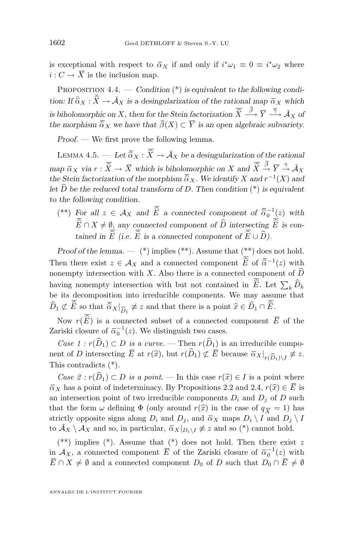<span id="page-28-0"></span>is exceptional with respect to  $\bar{\alpha}_X$  if and only if  $i^*\omega_1 \equiv 0 \equiv i^*\omega_2$  where  $i: C \to \overline{X}$  is the inclusion map.

PROPOSITION 4.4. — *Condition* (\*) *is equivalent to the following condition:* If  $\bar{\hat{\alpha}}_X : \bar{\hat{X}} \to \bar{\mathcal{A}}_X$  *is a desingularization of the rational map*  $\bar{\alpha}_X$  *which is biholomorphic on* X, then for the Stein factorization  $\hat{\overline{X}} \xrightarrow{\beta} \overline{Y} \xrightarrow{\overline{\gamma}} \overline{\mathcal{A}}_X$  of *the morphism*  $\overline{\hat{\alpha}}_X$  *we have that*  $\overline{\beta}(X) \subset \overline{Y}$  *is an open algebraic subvariety.* 

*Proof. —* We first prove the following lemma.

LEMMA 4.5. — Let  $\overline{\hat{\alpha}}_X : \overline{\hat{X}} \to \overline{\mathcal{A}}_X$  be a desingularization of the rational  $\overline{m}$  *map*  $\overline{\alpha}_X$  *via*  $r : \overline{\widehat{X}} \to \overline{X}$  *which is biholomorphic on* X and  $\overline{\widehat{X}} \stackrel{\beta}{\to} \overline{Y} \stackrel{\overline{\gamma}}{\to} \overline{\mathcal{A}}_X$ *the Stein factorization of the morphism*  $\overline{\hat{\alpha}}_X$ . We identify X and  $r^{-1}(X)$  and  $r^{+1}(X)$  and  $r^{+1}(X)$  is equivalent. let  $\hat{D}$  be the reduced total transform of D. Then condition  $(*)$  is equivalent *to the following condition.*

(\*\*) For all  $z \in A_X$  and  $\widehat{E}$  a connected component of  $\overline{\widehat{\alpha}}_0^{-1}(z)$  with  $\overline{\widehat{E}} \cap X \neq \emptyset$ , any connected component of  $\widehat{D}$  intersecting  $\overline{\widehat{E}}$  is con*tained in*  $\overline{\widehat{E}}$  *(i.e.*  $\overline{\widehat{E}}$  *is a connected component of*  $\overline{\widehat{E}} \cup \widehat{D}$ *).* 

*Proof of the lemma.* — (\*) implies (\*\*). Assume that (\*\*) does not hold. Then there exist  $z \in A_X$  and a connected component  $\widehat{E}$  of  $\overline{\widehat{\alpha}}^{-1}(z)$  with nonempty intersection with X. Also there is a connected component of  $\widehat{D}$ having nonempty intersection with but not contained in E. Let  $\sum_k D_k$ be its decomposition into irreducible components. We may assume that  $D_1 \not\subset E$  so that  $\widehat{\alpha}_X|_{\widehat{D}_1} \not\equiv z$  and that there is a point  $\widehat{x} \in D_1 \cap E$ .

Now  $r(\widehat{E})$  is a connected subset of a connected component  $\overline{E}$  of the Zariski closure of  $\overline{\alpha}_0^{-1}(z)$ . We distinguish two cases.

*Case 1 :*  $r(\hat{D}_1) \subset D$  *is a curve.* — Then  $r(\hat{D}_1)$  is an irreducible component of D intersecting E at  $r(\hat{x})$ , but  $r(D_1) \not\subset E$  because  $\bar{\alpha}_X|_{r(\widehat{D}_1)\setminus I} \not\equiv z$ .<br>This contradicts (\*) This contradicts (\*).

*Case 2 :*  $r(\widehat{D}_1) \subset D$  *is a point*. — In this case  $r(\widehat{x}) \in I$  is a point where  $\overline{\alpha}_X$  has a point of indeterminacy. By Propositions [2.2](#page-9-0) and [2.4,](#page-10-0)  $r(\hat{x}) \in \overline{E}$  is an intersection point of two irreducible components  $D_i$  and  $D_j$  of D such that the form  $\omega$  defining  $\Phi$  (only around  $r(\hat{x})$  in the case of  $q_{\overline{X}} = 1$ ) has strictly opposite signs along  $D_i$  and  $D_j$ , and  $\overline{\alpha}_X$  maps  $D_i \setminus I$  and  $D_j \setminus I$ to  $\bar{A}_X \setminus A_X$  and so, in particular,  $\bar{\alpha}_X|_{D_i \setminus I} \neq z$  and so (\*) cannot hold.

(\*\*) implies (\*). Assume that (\*) does not hold. Then there exist z in  $\mathcal{A}_X$ , a connected component  $\overline{E}$  of the Zariski closure of  $\overline{\alpha}_0^{-1}(z)$  with  $\overline{E} \cap X \neq \emptyset$  and a connected component  $D_0$  of D such that  $D_0 \cap \overline{E} \neq \emptyset$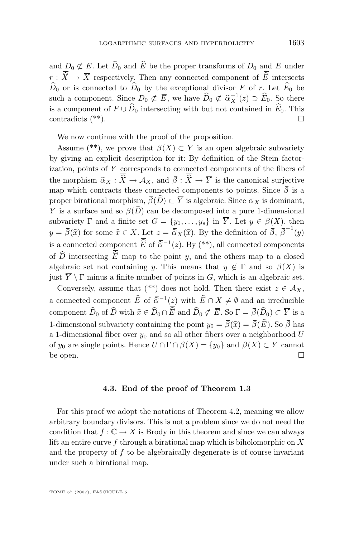and  $D_0 \not\subset \overline{E}$ . Let  $\widehat{D}_0$  and  $\overline{\widehat{E}}$  be the proper transforms of  $D_0$  and  $\overline{E}$  under  $r : \overline{\widehat{X}} \to \overline{X}$  respectively. Then any connected component of  $\overline{\widehat{E}}$  intersects  $\widehat{D}_0$  or is connected to  $\widehat{D}_0$  by the exceptional divisor F of r. Let  $\widehat{E}_0$  be such a component. Since  $D_0 \not\subset \overline{E}$ , we have  $\widehat{D}_0 \not\subset \overline{\widehat{\alpha}}_X^{-1}(z) \supset \widehat{E}_0$ . So there is a component of  $F \cup \widehat{D}_0$  intersecting with but not contained in  $\widehat{E}_0$ . This contradicts  $(**)$ . contradicts (\*\*).

We now continue with the proof of the proposition.

Assume (\*\*), we prove that  $\overline{\beta}(X) \subset \overline{Y}$  is an open algebraic subvariety by giving an explicit description for it: By definition of the Stein factorization, points of  $\overline{Y}$  corresponds to connected components of the fibers of the morphism  $\overline{\hat{\alpha}}_X : \overline{\hat{X}} \to \overline{\hat{\mathcal{A}}}_X$ , and  $\overline{\hat{\beta}} : \overline{\hat{X}} \to \overline{Y}$  is the canonical surjective map which contracts these connected components to points. Since  $\bar{\beta}$  is a proper birational morphism,  $\overline{\beta}(\widehat{D}) \subset \overline{Y}$  is algebraic. Since  $\overline{\alpha}_X$  is dominant,  $\overline{Y}$  is a surface and so  $\overline{\beta}(\widehat{D})$  can be decomposed into a pure 1-dimensional subvariety  $\Gamma$  and a finite set  $G = \{y_1, \ldots, y_s\}$  in  $\overline{Y}$ . Let  $y \in \overline{\beta}(X)$ , then  $y = \overline{\beta}(\widehat{x})$  for some  $\widehat{x} \in X$ . Let  $z = \overline{\widehat{\alpha}}_X(\widehat{x})$ . By the definition of  $\overline{\beta}$ ,  $\overline{\beta}^{-1}(y)$ . is a connected component  $\widehat{E}$  of  $\widehat{\overline{\alpha}}^{-1}(z)$ . By (\*\*), all connected components of  $\hat{D}$  intersecting  $\hat{E}$  map to the point y, and the others map to a closed algebraic set not containing y. This means that  $y \notin \Gamma$  and so  $\bar{\beta}(X)$  is just  $\overline{Y} \setminus \Gamma$  minus a finite number of points in  $G$ , which is an algebraic set.

Conversely, assume that (\*\*) does not hold. Then there exist  $z \in A_X$ , a connected component  $\hat{E}$  of  $\overline{\hat{\alpha}}^{-1}(z)$  with  $\hat{E} \cap X \neq \emptyset$  and an irreducible component  $\widehat{D}_0$  of  $\widehat{D}$  with  $\widehat{x} \in \widehat{D}_0 \cap \overline{\widehat{E}}$  and  $\widehat{D}_0 \not\subset \overline{E}$ . So  $\Gamma = \overline{\beta}(\widehat{D}_0) \subset \overline{Y}$  is a 1-dimensional subvariety containing the point  $y_0 = \overline{\beta}(\widehat{x}) = \overline{\beta}(\overline{\widehat{E}})$ . So  $\overline{\beta}$  has a 1-dimensional fiber over  $y_0$  and so all other fibers over a neighborhood U of  $y_0$  are single points. Hence  $U \cap \Gamma \cap \overline{\beta}(X) = \{y_0\}$  and  $\overline{\beta}(X) \subset \overline{Y}$  cannot be open.  $\Box$ 

#### **4.3. End of the proof of Theorem [1.3](#page-3-0)**

For this proof we adopt the notations of Theorem [4.2,](#page-25-0) meaning we allow arbitrary boundary divisors. This is not a problem since we do not need the condition that  $f: \mathbb{C} \to X$  is Brody in this theorem and since we can always lift an entire curve f through a birational map which is biholomorphic on  $X$ and the property of  $f$  to be algebraically degenerate is of course invariant under such a birational map.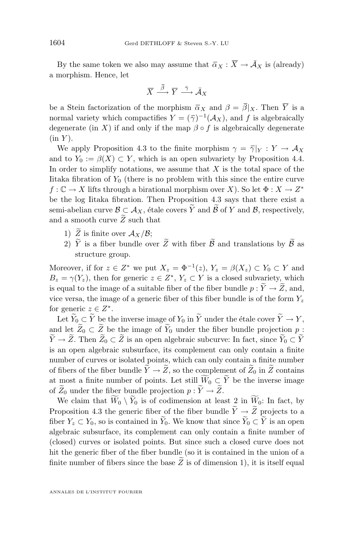By the same token we also may assume that  $\bar{\alpha}_X : \bar{X} \to \bar{\mathcal{A}}_X$  is (already) a morphism. Hence, let

$$
\overline{X} \stackrel{\overline{\beta}}{\longrightarrow} \overline{Y} \stackrel{\overline{\gamma}}{\longrightarrow} \overline{\mathcal{A}}_X
$$

be a Stein factorization of the morphism  $\bar{\alpha}_X$  and  $\beta = \bar{\beta}|_X$ . Then  $\bar{Y}$  is a normal variety which compactifies  $Y = (\bar{\gamma})^{-1}(\mathcal{A}_X)$ , and f is algebraically degenerate (in X) if and only if the map  $\beta \circ f$  is algebraically degenerate  $(in Y).$ 

We apply Proposition [4.3](#page-25-0) to the finite morphism  $\gamma = \overline{\gamma}|_Y : Y \to \mathcal{A}_X$ and to  $Y_0 := \beta(X) \subset Y$ , which is an open subvariety by Proposition [4.4.](#page-28-0) In order to simplify notations, we assume that  $X$  is the total space of the Iitaka fibration of  $Y_0$  (there is no problem with this since the entire curve  $f: \mathbb{C} \to X$  lifts through a birational morphism over X). So let  $\Phi: X \to Z^*$ be the log Iitaka fibration. Then Proposition [4.3](#page-25-0) says that there exist a semi-abelian curve  $\mathcal{B} \subset \mathcal{A}_X$ , étale covers  $\widetilde{Y}$  and  $\widetilde{\mathcal{B}}$  of Y and  $\mathcal{B}$ , respectively, and a smooth curve  $\widetilde{Z}$  such that

- 1)  $\widetilde{Z}$  is finite over  $\mathcal{A}_X/\mathcal{B}$ ;
- 2)  $\widetilde{Y}$  is a fiber bundle over  $\widetilde{Z}$  with fiber  $\widetilde{\mathcal{B}}$  and translations by  $\widetilde{\mathcal{B}}$  as structure group.

Moreover, if for  $z \in Z^*$  we put  $X_z = \Phi^{-1}(z)$ ,  $Y_z = \beta(X_z) \subset Y_0 \subset Y$  and  $B_z = \gamma(Y_z)$ , then for generic  $z \in Z^*$ ,  $Y_z \subset Y$  is a closed subvariety, which is equal to the image of a suitable fiber of the fiber bundle  $p : \widetilde{Y} \to \widetilde{Z}$ , and, vice versa, the image of a generic fiber of this fiber bundle is of the form  $Y_z$ for generic  $z \in Z^*$ .

Let  $\widetilde{Y}_0 \subset \widetilde{Y}$  be the inverse image of  $Y_0$  in  $\widetilde{Y}$  under the étale cover  $\widetilde{Y} \to Y$ , and let  $\widetilde{Z}_0 \subset \widetilde{Z}$  be the image of  $\widetilde{Y}_0$  under the fiber bundle projection p:  $\widetilde{Y}\to \widetilde{Z}$ . Then  $\widetilde{Z}_0\subset \widetilde{Z}$  is an open algebraic subcurve: In fact, since  $\widetilde{Y}_0\subset \widetilde{Y}$ is an open algebraic subsurface, its complement can only contain a finite number of curves or isolated points, which can only contain a finite number of fibers of the fiber bundle  $\widetilde{Y} \to \widetilde{Z}$ , so the complement of  $\widetilde{Z}_0$  in  $\widetilde{Z}$  contains at most a finite number of points. Let still  $\widetilde{W}_0 \subset \widetilde{Y}$  be the inverse image of  $\widetilde{Z}_0$  under the fiber bundle projection  $p : \widetilde{Y} \to \widetilde{Z}$ .

We claim that  $\widetilde{W}_0 \setminus \widetilde{Y}_0$  is of codimension at least 2 in  $\widetilde{W}_0$ : In fact, by Proposition [4.3](#page-25-0) the generic fiber of the fiber bundle  $\widetilde{Y} \to \widetilde{Z}$  projects to a fiber  $Y_z \subset Y_0$ , so is contained in  $\widetilde{Y}_0$ . We know that since  $\widetilde{Y}_0 \subset \widetilde{Y}$  is an open algebraic subsurface, its complement can only contain a finite number of (closed) curves or isolated points. But since such a closed curve does not hit the generic fiber of the fiber bundle (so it is contained in the union of a finite number of fibers since the base  $\overline{Z}$  is of dimension 1), it is itself equal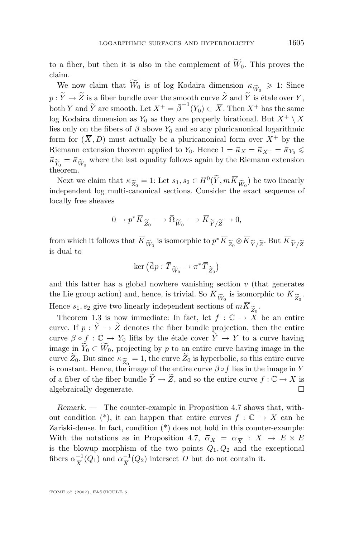to a fiber, but then it is also in the complement of  $\widetilde{W}_0$ . This proves the claim.

We now claim that  $\widetilde{W}_0$  is of log Kodaira dimension  $\overline{\kappa}_{\widetilde{W}_0} \geq 1$ : Since  $\widetilde{Y} \to \widetilde{Z}$  is a fiber bundle over the smooth curve  $\widetilde{Z}$  and  $\widetilde{Y}$  is étale over V  $p: \widetilde{Y}\to \widetilde{Z}$  is a fiber bundle over the smooth curve  $\widetilde{Z}$  and  $\widetilde{Y}$  is étale over  $Y,$ both Y and  $\widetilde{Y}$  are smooth. Let  $X^+ = \overline{\beta}^{-1}(Y_0) \subset \overline{X}$ . Then  $X^+$  has the same log Kodaira dimension as  $Y_0$  as they are properly birational. But  $X^+ \setminus X$ lies only on the fibers of  $\bar{\beta}$  above  $Y_0$  and so any pluricanonical logarithmic form for  $(\overline{X}, D)$  must actually be a pluricanonical form over  $X^+$  by the Riemann extension theorem applied to Y<sub>0</sub>. Hence  $1 = \bar{\kappa}_X = \bar{\kappa}_{X^+} = \bar{\kappa}_{Y_0} \leq$  $\overline{\kappa}_{\widetilde{Y}_0} = \overline{\kappa}_{\widetilde{W}_0}$  where the last equality follows again by the Riemann extension theorem. theorem.

Next we claim that  $\bar{\kappa}_{\widetilde{Z}_0} = 1$ : Let  $s_1, s_2 \in H^0(\widetilde{Y}, m\overline{K}_{\widetilde{W}_0})$  be two linearly dependent log multi-canonical sections. Consider the exact sequence of independent log multi-canonical sections. Consider the exact sequence of locally free sheaves

$$
0 \to p^* \overline{K}_{\widetilde{Z}_0} \longrightarrow \overline{\Omega}_{\widetilde{W}_0} \longrightarrow \overline{K}_{\widetilde{Y}/\widetilde{Z}} \to 0,
$$

from which it follows that  $\overline{K}_{\widetilde{W}_0}$  is isomorphic to  $p^* \overline{K}_{\widetilde{Z}_0} \otimes \overline{K}_{\widetilde{Y}/\widetilde{Z}}$ . But  $\overline{K}_{\widetilde{Y}/\widetilde{Z}}$ <br>is dual to is dual to

$$
\ker\big(\bar{\rm d}p:\bar{T}_{\widetilde W_0}\to \pi^*\bar{T}_{\widetilde Z_0}\big)
$$

and this latter has a global nowhere vanishing section  $v$  (that generates the Lie group action) and, hence, is trivial. So  $K_{\widetilde{W}_0}$  is isomorphic to  $K_{\widetilde{Z}_0}$ .<br>Hence see give two linearly independent sections of  $m\overline{K}_{\widetilde{\infty}}$ . Hence  $s_1, s_2$  give two linearly independent sections of  $mK_{\widetilde{Z}_0}$ .<br>Theorem 1.3 is now immediate: In fact, let  $f : \mathbb{C} \to X$ 

Theorem [1.3](#page-3-0) is now immediate: In fact, let  $f : \mathbb{C} \to X$  be an entire curve. If  $p : \widetilde{Y} \to \widetilde{Z}$  denotes the fiber bundle projection, then the entire curve  $\beta \circ f : \mathbb{C} \to Y_0$  lifts by the étale cover  $\widetilde{Y} \to Y$  to a curve having image in  $\tilde{Y}_0 \subset \widetilde{W}_0$ , projecting by p to an entire curve having image in the curve  $Z_0$ . But since  $\bar{\kappa}_{\widetilde{Z}_0} = 1$ , the curve  $Z_0$  is hyperbolic, so this entire curve is constant. Hence, the image of the entire curve  $\beta \circ f$  lies in the image in Y is constant. Hence, the image of the entire curve  $\beta \circ f$  lies in the image in Y of a fiber of the fiber bundle  $\widetilde{Y} \to \widetilde{Z}$ , and so the entire curve  $f : \mathbb{C} \to X$  is algebraically degenerate. algebraically degenerate.

*Remark. —* The counter-example in Proposition [4.7](#page-33-0) shows that, without condition (\*), it can happen that entire curves  $f : \mathbb{C} \to X$  can be Zariski-dense. In fact, condition (\*) does not hold in this counter-example: With the notations as in Proposition [4.7,](#page-33-0)  $\bar{\alpha}_X = \alpha_{\overline{X}} : X \to E \times E$ is the blowup morphism of the two points  $Q_1, Q_2$  and the exceptional fibers  $\alpha_{\overline{v}}^{-1}$  $\frac{-1}{X}(Q_1)$  and  $\alpha \frac{-1}{X}$  $\frac{-1}{X}(Q_2)$  intersect D but do not contain it.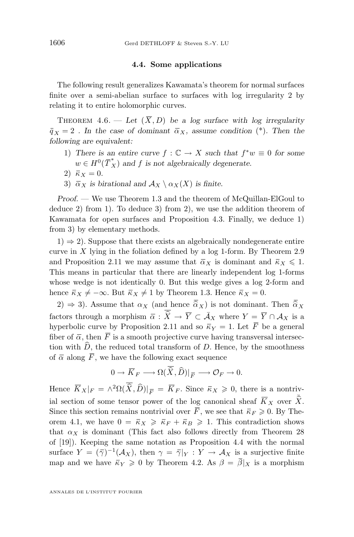#### **4.4. Some applications**

<span id="page-32-0"></span>The following result generalizes Kawamata's theorem for normal surfaces finite over a semi-abelian surface to surfaces with log irregularity 2 by relating it to entire holomorphic curves.

THEOREM 4.6. — Let  $(\overline{X}, D)$  be a log surface with log irregularity  $\overline{q}_X = 2$ . In the case of dominant  $\overline{\alpha}_X$ , assume condition (\*). Then the *following are equivalent:*

- 1) There is an entire curve  $f : \mathbb{C} \to X$  such that  $f^*w \equiv 0$  for some  $w \in H^0(\overline{T}_X^*)$  and f is not algebraically degenerate.
- 2)  $\bar{\kappa}_X = 0$ .
- 3)  $\bar{\alpha}_X$  *is birational and*  $\mathcal{A}_X \setminus \alpha_X(X)$  *is finite.*

*Proof. —* We use Theorem [1.3](#page-3-0) and the theorem of McQuillan-ElGoul to deduce 2) from 1). To deduce 3) from 2), we use the addition theorem of Kawamata for open surfaces and Proposition [4.3.](#page-25-0) Finally, we deduce 1) from 3) by elementary methods.

 $(1) \Rightarrow 2$ ). Suppose that there exists an algebraically nondegenerate entire curve in  $X$  lying in the foliation defined by a log 1-form. By Theorem [2.9](#page-13-0) and Proposition [2.11](#page-14-0) we may assume that  $\bar{\alpha}_X$  is dominant and  $\bar{\kappa}_X \leq 1$ . This means in particular that there are linearly independent log 1-forms whose wedge is not identically 0. But this wedge gives a log 2-form and hence  $\bar{\kappa}_X \neq -\infty$ . But  $\bar{\kappa}_X \neq 1$  by Theorem [1.3.](#page-3-0) Hence  $\bar{\kappa}_X = 0$ .

2)  $\Rightarrow$  3). Assume that  $\alpha_X$  (and hence  $\overline{\hat{\alpha}}_X$ ) is not dominant. Then  $\overline{\hat{\alpha}}_X$ factors through a morphism  $\overline{\alpha} : \overline{\widehat{X}} \to \overline{Y} \subset \overline{\mathcal{A}}_X$  where  $Y = \overline{Y} \cap \mathcal{A}_X$  is a hyperbolic curve by Proposition [2.11](#page-14-0) and so  $\bar{\kappa}_Y = 1$ . Let  $\bar{F}$  be a general fiber of  $\overline{\alpha}$ , then  $\overline{F}$  is a smooth projective curve having transversal intersection with  $\hat{D}$ , the reduced total transform of D. Hence, by the smoothness of  $\bar{\alpha}$  along  $\bar{F}$ , we have the following exact sequence

$$
0 \to \overline{K}_F \longrightarrow \Omega(\overline{\widehat{X}}, \widehat{D})|_{\overline{F}} \longrightarrow \mathcal{O}_F \to 0.
$$

Hence  $\overline{K}_X|_F = \wedge^2 \Omega(\widehat{X}, \widehat{D})|_{\overline{F}} = \overline{K}_F$ . Since  $\overline{\kappa}_X \geq 0$ , there is a nontrivial section of some tensor power of the log canonical sheaf  $\overline{K}_X$  over  $\overline{\hat{X}}$ . Since this section remains nontrivial over  $\overline{F}$ , we see that  $\overline{\kappa}_F \geq 0$ . By The-orem [4.1,](#page-24-0) we have  $0 = \overline{\kappa}_X \geqslant \overline{\kappa}_F + \overline{\kappa}_B \geqslant 1$ . This contradiction shows that  $\alpha_X$  is dominant (This fact also follows directly from Theorem 28 of [\[19\]](#page-35-0)). Keeping the same notation as Proposition [4.4](#page-28-0) with the normal surface  $Y = (\bar{\gamma})^{-1}(\mathcal{A}_X)$ , then  $\gamma = \bar{\gamma}|_Y : Y \to \mathcal{A}_X$  is a surjective finite map and we have  $\bar{\kappa}_Y \geq 0$  by Theorem [4.2.](#page-25-0) As  $\beta = \bar{\beta}|_X$  is a morphism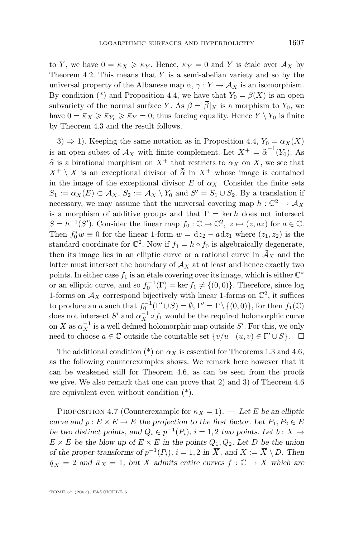<span id="page-33-0"></span>to Y, we have  $0 = \overline{\kappa}_X \geq \overline{\kappa}_Y$ . Hence,  $\overline{\kappa}_Y = 0$  and Y is étale over  $\mathcal{A}_X$  by Theorem [4.2.](#page-25-0) This means that  $Y$  is a semi-abelian variety and so by the universal property of the Albanese map  $\alpha$ ,  $\gamma: Y \to \mathcal{A}_X$  is an isomorphism. By condition (\*) and Proposition [4.4,](#page-28-0) we have that  $Y_0 = \beta(X)$  is an open subvariety of the normal surface Y. As  $\beta = \overline{\beta}|_X$  is a morphism to Y<sub>0</sub>, we have  $0 = \bar{\kappa}_X \geq \bar{\kappa}_{Y_0} \geq \bar{\kappa}_Y = 0$ ; thus forcing equality. Hence  $Y \setminus Y_0$  is finite by Theorem [4.3](#page-25-0) and the result follows.

3)  $\Rightarrow$  1). Keeping the same notation as in Proposition [4.4,](#page-28-0)  $Y_0 = \alpha_X(X)$ is an open subset of  $\mathcal{A}_X$  with finite complement. Let  $X^+ = \bar{\hat{\alpha}}^{-1}(Y_0)$ . As  $\bar{\hat{\alpha}}$  is a birational morphism on  $X^+$  that restricts to  $\alpha_X$  on X, we see that  $X^+ \setminus X$  is an exceptional divisor of  $\overline{\hat{\alpha}}$  in  $X^+$  whose image is contained in the image of the exceptional divisor  $E$  of  $\alpha_X$ . Consider the finite sets  $S_1 := \alpha_X(E) \subset \mathcal{A}_X$ ,  $S_2 := \mathcal{A}_X \setminus Y_0$  and  $S' = S_1 \cup S_2$ . By a translation if necessary, we may assume that the universal covering map  $h: \mathbb{C}^2 \to \mathcal{A}_X$ is a morphism of additive groups and that  $\Gamma = \text{ker } h$  does not intersect  $S = h^{-1}(S')$ . Consider the linear map  $f_0: \mathbb{C} \to \mathbb{C}^2$ ,  $z \mapsto (z, az)$  for  $a \in \mathbb{C}$ . Then  $f_0^*w \equiv 0$  for the linear 1-form  $w = dz_2 - adz_1$  where  $(z_1, z_2)$  is the standard coordinate for  $\mathbb{C}^2$ . Now if  $f_1 = h \circ f_0$  is algebraically degenerate, then its image lies in an elliptic curve or a rational curve in  $\overline{\mathcal{A}}_X$  and the latter must intersect the boundary of  $A_X$  at at least and hence exactly two points. In either case  $f_1$  is an étale covering over its image, which is either  $\mathbb{C}^*$ or an elliptic curve, and so  $f_0^{-1}(\Gamma) = \ker f_1 \neq \{(0,0)\}\.$  Therefore, since log 1-forms on  $\mathcal{A}_X$  correspond bijectively with linear 1-forms on  $\mathbb{C}^2$ , it suffices to produce an a such that  $f_0^{-1}(\Gamma' \cup S) = \emptyset$ ,  $\Gamma' = \Gamma \setminus \{(0, 0)\}\)$ , for then  $f_1(\mathbb{C})$ does not intersect  $S'$  and  $\alpha_X^{-1} \circ f_1$  would be the required holomorphic curve on X as  $\alpha_X^{-1}$  is a well defined holomorphic map outside S'. For this, we only need to choose  $a \in \mathbb{C}$  outside the countable set  $\{v/u \mid (u, v) \in \Gamma' \cup S\}$ .  $\Box$ 

The additional condition (\*) on  $\alpha_X$  is essential for Theorems [1.3](#page-3-0) and [4.6,](#page-32-0) as the following counterexamples shows. We remark here however that it can be weakened still for Theorem [4.6,](#page-32-0) as can be seen from the proofs we give. We also remark that one can prove that 2) and 3) of Theorem [4.6](#page-32-0) are equivalent even without condition (\*).

PROPOSITION 4.7 (Counterexample for  $\bar{\kappa}_X = 1$ ). — Let E be an elliptic *curve and*  $p: E \times E \to E$  *the projection to the first factor. Let*  $P_1, P_2 \in E$ *be two distinct points, and*  $Q_i \in p^{-1}(P_i)$ ,  $i = 1, 2$  *two points. Let*  $b : \overline{X} \to$  $E \times E$  be the blow up of  $E \times E$  in the points  $Q_1, Q_2$ . Let D be the union *of the proper transforms of*  $p^{-1}(P_i)$ ,  $i = 1, 2$  *in*  $\overline{X}$ , and  $X := \overline{X} \setminus D$ . Then  $\overline{q}_X = 2$  and  $\overline{\kappa}_X = 1$ , but X admits entire curves  $f : \mathbb{C} \to X$  which are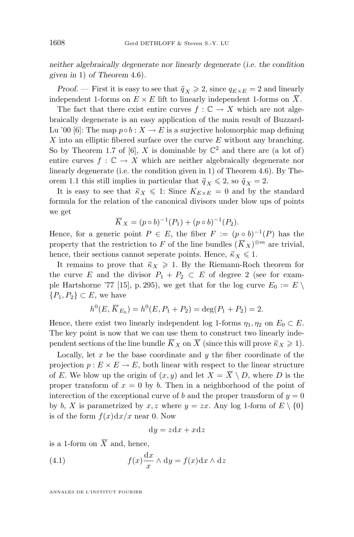<span id="page-34-0"></span>*neither algebraically degenerate nor linearly degenerate* (*i.e. the condition given in* 1) *of Theorem* 4.[6\)](#page-32-0)*.*

*Proof.* — First it is easy to see that  $\bar{q}_X \geq 2$ , since  $q_{E \times E} = 2$  and linearly independent 1-forms on  $E \times E$  lift to linearly independent 1-forms on  $\overline{X}$ .

The fact that there exist entire curves  $f : \mathbb{C} \to X$  which are not algebraically degenerate is an easy application of the main result of Buzzard-Lu '00 [\[6\]](#page-35-0): The map  $p \circ b : X \to E$  is a surjective holomorphic map defining X into an elliptic fibered surface over the curve  $E$  without any branching. So by Theorem 1.7 of [\[6\]](#page-35-0), X is dominable by  $\mathbb{C}^2$  and there are (a lot of) entire curves  $f : \mathbb{C} \to X$  which are neither algebraically degenerate nor linearly degenerate (i.e. the condition given in 1) of Theorem [4.6\)](#page-32-0). By The-orem [1.1](#page-2-0) this still implies in particular that  $\bar{q}_X \leq 2$ , so  $\bar{q}_X = 2$ .

It is easy to see that  $\bar{\kappa}_X \leq 1$ : Since  $K_{E \times E} = 0$  and by the standard formula for the relation of the canonical divisors under blow ups of points we get

$$
\overline{K}_X = (p \circ b)^{-1}(P_1) + (p \circ b)^{-1}(P_2).
$$

Hence, for a generic point  $P \in E$ , the fiber  $F := (p \circ b)^{-1}(P)$  has the property that the restriction to F of the line bundles  $(\overline{K}_X)^{\otimes m}$  are trivial, hence, their sections cannot seperate points. Hence,  $\bar{K}_X \leq 1$ .

It remains to prove that  $\bar{\kappa}_X \geq 1$ . By the Riemann-Roch theorem for the curve E and the divisor  $P_1 + P_2 \subset E$  of degree 2 (see for exam-ple Hartshorne '77 [\[15\]](#page-35-0), p. 295), we get that for the log curve  $E_0 := E \setminus$  $\{P_1, P_2\} \subset E$ , we have

$$
h^{0}(E, \overline{K}_{E_0}) = h^{0}(E, P_1 + P_2) = \deg(P_1 + P_2) = 2.
$$

Hence, there exist two linearly independent log 1-forms  $\eta_1, \eta_2$  on  $E_0 \subset E$ . The key point is now that we can use them to construct two linearly independent sections of the line bundle  $\overline{K}_X$  on  $\overline{X}$  (since this will prove  $\overline{\kappa}_X \geq 1$ ).

Locally, let  $x$  be the base coordinate and  $y$  the fiber coordinate of the projection  $p: E \times E \to E$ , both linear with respect to the linear structure of E. We blow up the origin of  $(x, y)$  and let  $X = \overline{X} \setminus D$ , where D is the proper transform of  $x = 0$  by b. Then in a neighborhood of the point of interection of the exceptional curve of b and the proper transform of  $y = 0$ by b, X is parametrized by x, z where  $y = zx$ . Any log 1-form of  $E \setminus \{0\}$ is of the form  $f(x)dx/x$  near 0. Now

$$
dy = zdx + xdz
$$

is a 1-form on  $\overline{X}$  and, hence,

(4.1) 
$$
f(x)\frac{\mathrm{d}x}{x} \wedge \mathrm{d}y = f(x)\mathrm{d}x \wedge \mathrm{d}z
$$

ANNALES DE L'INSTITUT FOURIER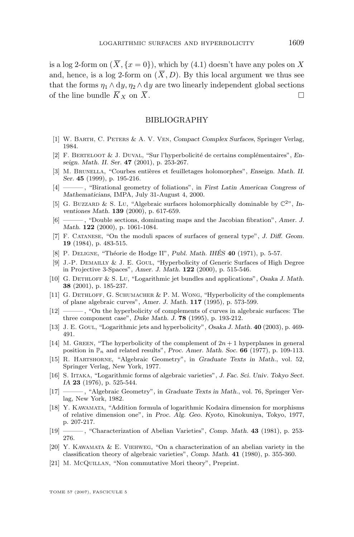<span id="page-35-0"></span>is a log 2-form on  $(\overline{X}, \{x = 0\})$ , which by [\(4.1\)](#page-34-0) doesn't have any poles on X and, hence, is a log 2-form on  $(\overline{X}, D)$ . By this local argument we thus see that the forms  $\eta_1 \wedge d\eta$ ,  $\eta_2 \wedge d\eta$  are two linearly independent global sections of the line bundle  $\overline{K}_X$  on  $\overline{X}$ .

#### BIBLIOGRAPHY

- [1] W. Barth, C. Peters & A. V. Ven, *Compact Complex Surfaces*, Springer Verlag, 1984.
- [2] F. Berteloot & J. Duval, "Sur l'hyperbolicité de certains complémentaires", *Enseign. Math. II. Ser.* **47** (2001), p. 253-267.
- [3] M. Brunella, "Courbes entières et feuilletages holomorphes", *Enseign. Math. II. Ser.* **45** (1999), p. 195-216.
- [4] ——— , "Birational geometry of foliations", in *First Latin American Congress of Mathematicians*, IMPA, July 31-August 4, 2000.
- [5] G. BUZZARD & S. Lu, "Algebraic surfaces holomorphically dominable by  $\mathbb{C}^{2^n}$ , *Inventiones Math.* **139** (2000), p. 617-659.
- [6] ——— , "Double sections, dominating maps and the Jacobian fibration", *Amer. J. Math.* **122** (2000), p. 1061-1084.
- [7] F. Catanese, "On the moduli spaces of surfaces of general type", *J. Diff. Geom.* **19** (1984), p. 483-515.
- [8] P. Deligne, "Théorie de Hodge II", *Publ. Math. IHÉS* **40** (1971), p. 5-57.
- [9] J.-P. DEMAILLY & J. E. GOUL, "Hyperbolicity of Generic Surfaces of High Degree in Projective 3-Spaces", *Amer. J. Math.* **122** (2000), p. 515-546.
- [10] G. Dethloff & S. Lu, "Logarithmic jet bundles and applications", *Osaka J. Math.* **38** (2001), p. 185-237.
- [11] G. Dethloff, G. Schumacher & P. M. Wong, "Hyperbolicity of the complements of plane algebraic curves", *Amer. J. Math.* **117** (1995), p. 573-599.
- [12] ——— , "On the hyperbolicity of complements of curves in algebraic surfaces: The three component case", *Duke Math. J.* **78** (1995), p. 193-212.
- [13] J. E. Goul, "Logarithmic jets and hyperbolicity", *Osaka J. Math.* **40** (2003), p. 469- 491.
- [14] M. GREEN, "The hyperbolicity of the complement of  $2n + 1$  hyperplanes in general position in  $\mathbb{P}_n$  and related results", *Proc. Amer. Math. Soc.* **66** (1977), p. 109-113.
- [15] R. Hartshorne, "Algebraic Geometry", in *Graduate Texts in Math.*, vol. 52, Springer Verlag, New York, 1977.
- [16] S. Iitaka, "Logarithmic forms of algebraic varieties", *J. Fac. Sci. Univ. Tokyo Sect. IA* **23** (1976), p. 525-544.
- [17] ——— , "Algebraic Geometry", in *Graduate Texts in Math.*, vol. 76, Springer Verlag, New York, 1982.
- [18] Y. Kawamata, "Addition formula of logarithmic Kodaira dimension for morphisms of relative dimension one", in *Proc. Alg. Geo. Kyoto*, Kinokuniya, Tokyo, 1977, p. 207-217.
- [19] ——— , "Characterization of Abelian Varieties", *Comp. Math.* **43** (1981), p. 253- 276.
- [20] Y. KAWAMATA  $&\,E$ . VIEHWEG, "On a characterization of an abelian variety in the classification theory of algebraic varieties", *Comp. Math.* **41** (1980), p. 355-360.
- [21] M. McQUILLAN, "Non commutative Mori theory", Preprint.